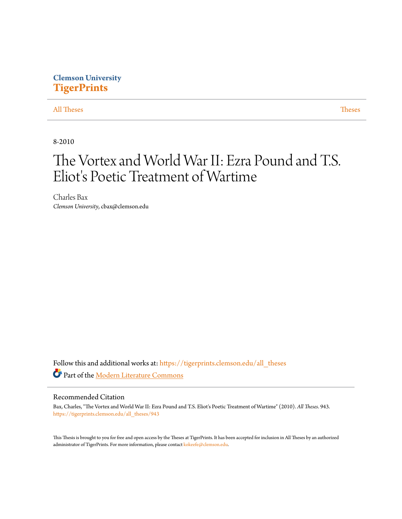# **Clemson University [TigerPrints](https://tigerprints.clemson.edu?utm_source=tigerprints.clemson.edu%2Fall_theses%2F943&utm_medium=PDF&utm_campaign=PDFCoverPages)**

### [All Theses](https://tigerprints.clemson.edu/all_theses?utm_source=tigerprints.clemson.edu%2Fall_theses%2F943&utm_medium=PDF&utm_campaign=PDFCoverPages) **[Theses](https://tigerprints.clemson.edu/theses?utm_source=tigerprints.clemson.edu%2Fall_theses%2F943&utm_medium=PDF&utm_campaign=PDFCoverPages)**

8-2010

# The Vortex and World War II: Ezra Pound and T.S. Eliot's Poetic Treatment of Wartime

Charles Bax *Clemson University*, cbax@clemson.edu

Follow this and additional works at: [https://tigerprints.clemson.edu/all\\_theses](https://tigerprints.clemson.edu/all_theses?utm_source=tigerprints.clemson.edu%2Fall_theses%2F943&utm_medium=PDF&utm_campaign=PDFCoverPages) Part of the [Modern Literature Commons](http://network.bepress.com/hgg/discipline/1050?utm_source=tigerprints.clemson.edu%2Fall_theses%2F943&utm_medium=PDF&utm_campaign=PDFCoverPages)

### Recommended Citation

Bax, Charles, "The Vortex and World War II: Ezra Pound and T.S. Eliot's Poetic Treatment of Wartime" (2010). *All Theses*. 943. [https://tigerprints.clemson.edu/all\\_theses/943](https://tigerprints.clemson.edu/all_theses/943?utm_source=tigerprints.clemson.edu%2Fall_theses%2F943&utm_medium=PDF&utm_campaign=PDFCoverPages)

This Thesis is brought to you for free and open access by the Theses at TigerPrints. It has been accepted for inclusion in All Theses by an authorized administrator of TigerPrints. For more information, please contact [kokeefe@clemson.edu](mailto:kokeefe@clemson.edu).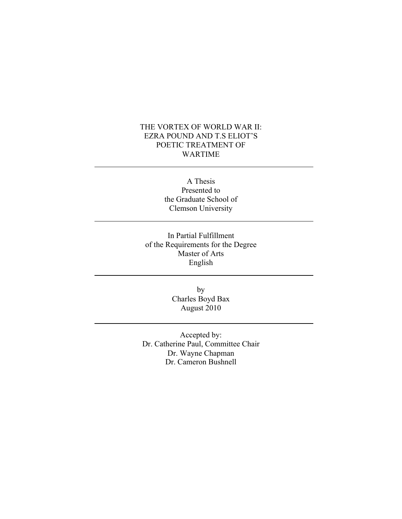## THE VORTEX OF WORLD WAR II: EZRA POUND AND T.S ELIOT'S POETIC TREATMENT OF WARTIME

A Thesis Presented to the Graduate School of Clemson University

In Partial Fulfillment of the Requirements for the Degree Master of Arts English

> by Charles Boyd Bax August 2010

Accepted by: Dr. Catherine Paul, Committee Chair Dr. Wayne Chapman Dr. Cameron Bushnell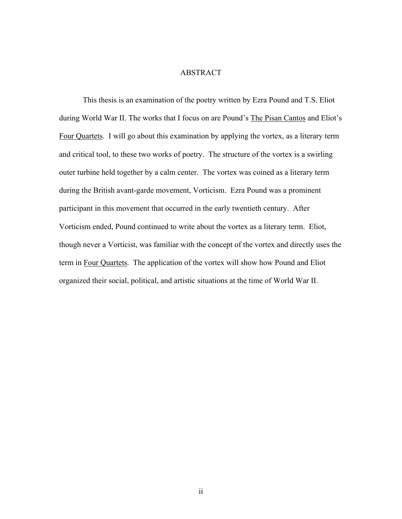### ABSTRACT

This thesis is an examination of the poetry written by Ezra Pound and T.S. Eliot during World War II. The works that I focus on are Pound's The Pisan Cantos and Eliot's Four Quartets. I will go about this examination by applying the vortex, as a literary term and critical tool, to these two works of poetry. The structure of the vortex is a swirling outer turbine held together by a calm center. The vortex was coined as a literary term during the British avant-garde movement, Vorticism. Ezra Pound was a prominent participant in this movement that occurred in the early twentieth century. After Vorticism ended, Pound continued to write about the vortex as a literary term. Eliot, though never a Vorticist, was familiar with the concept of the vortex and directly uses the term in Four Quartets. The application of the vortex will show how Pound and Eliot organized their social, political, and artistic situations at the time of World War II.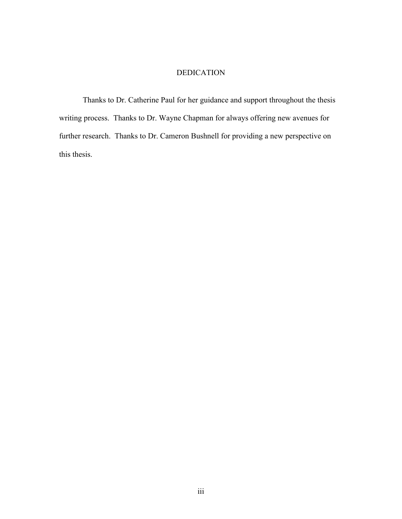## DEDICATION

Thanks to Dr. Catherine Paul for her guidance and support throughout the thesis writing process. Thanks to Dr. Wayne Chapman for always offering new avenues for further research. Thanks to Dr. Cameron Bushnell for providing a new perspective on this thesis.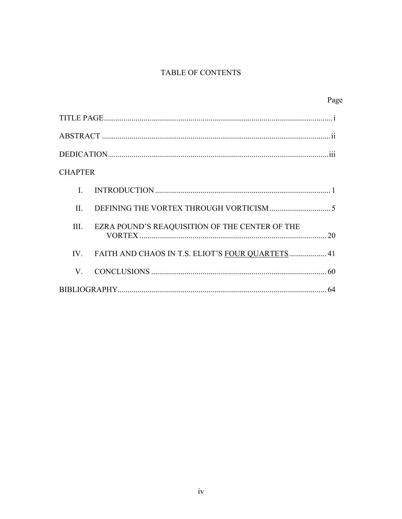# TABLE OF CONTENTS

|                |                                                  | Page |
|----------------|--------------------------------------------------|------|
|                |                                                  |      |
|                |                                                  |      |
|                |                                                  |      |
| <b>CHAPTER</b> |                                                  |      |
| $\mathbf{I}$   |                                                  |      |
| $\Pi$ .        |                                                  |      |
| III.           | EZRA POUND'S REAQUISITION OF THE CENTER OF THE   |      |
| $IV_{-}$       | FAITH AND CHAOS IN T.S. ELIOT'S FOUR QUARTETS 41 |      |
| $V_{-}$        |                                                  |      |
|                |                                                  | 64   |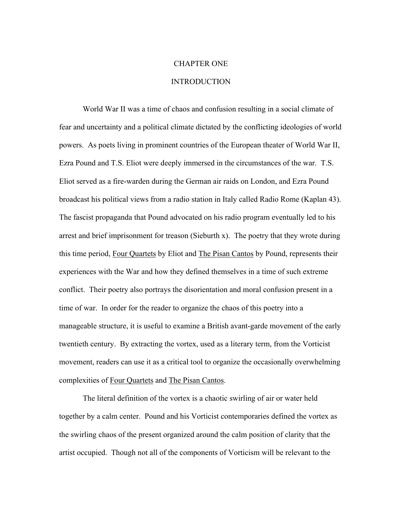## CHAPTER ONE

### **INTRODUCTION**

World War II was a time of chaos and confusion resulting in a social climate of fear and uncertainty and a political climate dictated by the conflicting ideologies of world powers. As poets living in prominent countries of the European theater of World War II, Ezra Pound and T.S. Eliot were deeply immersed in the circumstances of the war. T.S. Eliot served as a fire-warden during the German air raids on London, and Ezra Pound broadcast his political views from a radio station in Italy called Radio Rome (Kaplan 43). The fascist propaganda that Pound advocated on his radio program eventually led to his arrest and brief imprisonment for treason (Sieburth x). The poetry that they wrote during this time period, Four Quartets by Eliot and The Pisan Cantos by Pound, represents their experiences with the War and how they defined themselves in a time of such extreme conflict. Their poetry also portrays the disorientation and moral confusion present in a time of war. In order for the reader to organize the chaos of this poetry into a manageable structure, it is useful to examine a British avant-garde movement of the early twentieth century. By extracting the vortex, used as a literary term, from the Vorticist movement, readers can use it as a critical tool to organize the occasionally overwhelming complexities of Four Quartets and The Pisan Cantos.

The literal definition of the vortex is a chaotic swirling of air or water held together by a calm center. Pound and his Vorticist contemporaries defined the vortex as the swirling chaos of the present organized around the calm position of clarity that the artist occupied. Though not all of the components of Vorticism will be relevant to the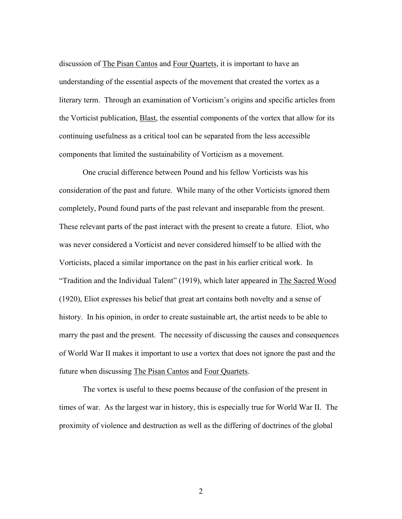discussion of The Pisan Cantos and Four Quartets, it is important to have an understanding of the essential aspects of the movement that created the vortex as a literary term. Through an examination of Vorticism's origins and specific articles from the Vorticist publication, Blast, the essential components of the vortex that allow for its continuing usefulness as a critical tool can be separated from the less accessible components that limited the sustainability of Vorticism as a movement.

One crucial difference between Pound and his fellow Vorticists was his consideration of the past and future. While many of the other Vorticists ignored them completely, Pound found parts of the past relevant and inseparable from the present. These relevant parts of the past interact with the present to create a future. Eliot, who was never considered a Vorticist and never considered himself to be allied with the Vorticists, placed a similar importance on the past in his earlier critical work. In "Tradition and the Individual Talent" (1919), which later appeared in The Sacred Wood (1920), Eliot expresses his belief that great art contains both novelty and a sense of history. In his opinion, in order to create sustainable art, the artist needs to be able to marry the past and the present. The necessity of discussing the causes and consequences of World War II makes it important to use a vortex that does not ignore the past and the future when discussing The Pisan Cantos and Four Quartets.

The vortex is useful to these poems because of the confusion of the present in times of war. As the largest war in history, this is especially true for World War II. The proximity of violence and destruction as well as the differing of doctrines of the global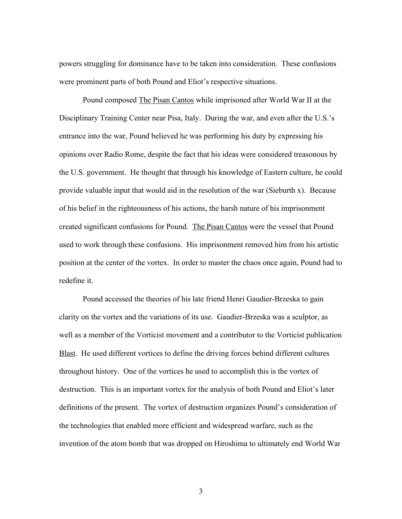powers struggling for dominance have to be taken into consideration. These confusions were prominent parts of both Pound and Eliot's respective situations.

Pound composed The Pisan Cantos while imprisoned after World War II at the Disciplinary Training Center near Pisa, Italy. During the war, and even after the U.S.'s entrance into the war, Pound believed he was performing his duty by expressing his opinions over Radio Rome, despite the fact that his ideas were considered treasonous by the U.S. government. He thought that through his knowledge of Eastern culture, he could provide valuable input that would aid in the resolution of the war (Sieburth x). Because of his belief in the righteousness of his actions, the harsh nature of his imprisonment created significant confusions for Pound. The Pisan Cantos were the vessel that Pound used to work through these confusions. His imprisonment removed him from his artistic position at the center of the vortex. In order to master the chaos once again, Pound had to redefine it.

Pound accessed the theories of his late friend Henri Gaudier-Brzeska to gain clarity on the vortex and the variations of its use. Gaudier-Brzeska was a sculptor, as well as a member of the Vorticist movement and a contributor to the Vorticist publication Blast. He used different vortices to define the driving forces behind different cultures throughout history. One of the vortices he used to accomplish this is the vortex of destruction. This is an important vortex for the analysis of both Pound and Eliot's later definitions of the present. The vortex of destruction organizes Pound's consideration of the technologies that enabled more efficient and widespread warfare, such as the invention of the atom bomb that was dropped on Hiroshima to ultimately end World War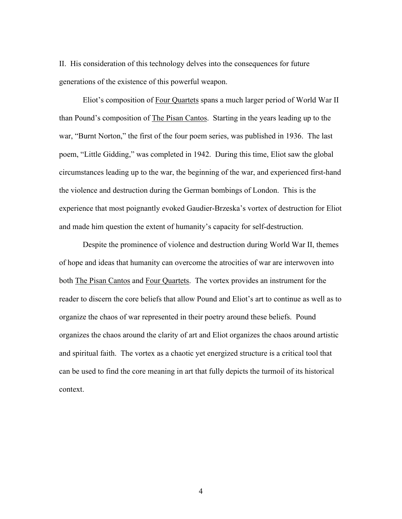II. His consideration of this technology delves into the consequences for future generations of the existence of this powerful weapon.

Eliot's composition of Four Quartets spans a much larger period of World War II than Pound's composition of The Pisan Cantos. Starting in the years leading up to the war, "Burnt Norton," the first of the four poem series, was published in 1936. The last poem, "Little Gidding," was completed in 1942. During this time, Eliot saw the global circumstances leading up to the war, the beginning of the war, and experienced first-hand the violence and destruction during the German bombings of London. This is the experience that most poignantly evoked Gaudier-Brzeska's vortex of destruction for Eliot and made him question the extent of humanity's capacity for self-destruction.

Despite the prominence of violence and destruction during World War II, themes of hope and ideas that humanity can overcome the atrocities of war are interwoven into both The Pisan Cantos and Four Quartets. The vortex provides an instrument for the reader to discern the core beliefs that allow Pound and Eliot's art to continue as well as to organize the chaos of war represented in their poetry around these beliefs. Pound organizes the chaos around the clarity of art and Eliot organizes the chaos around artistic and spiritual faith. The vortex as a chaotic yet energized structure is a critical tool that can be used to find the core meaning in art that fully depicts the turmoil of its historical context.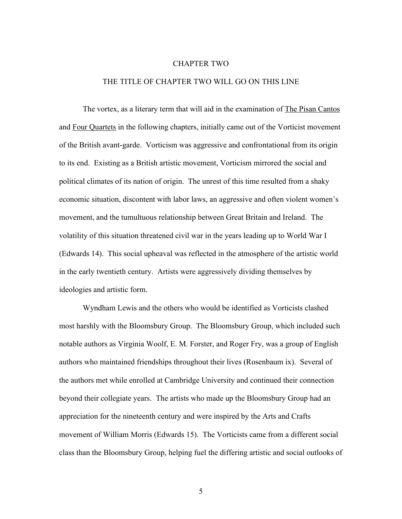#### CHAPTER TWO

### THE TITLE OF CHAPTER TWO WILL GO ON THIS LINE

The vortex, as a literary term that will aid in the examination of The Pisan Cantos and Four Quartets in the following chapters, initially came out of the Vorticist movement of the British avant-garde. Vorticism was aggressive and confrontational from its origin to its end. Existing as a British artistic movement, Vorticism mirrored the social and political climates of its nation of origin. The unrest of this time resulted from a shaky economic situation, discontent with labor laws, an aggressive and often violent women's movement, and the tumultuous relationship between Great Britain and Ireland. The volatility of this situation threatened civil war in the years leading up to World War I (Edwards 14). This social upheaval was reflected in the atmosphere of the artistic world in the early twentieth century. Artists were aggressively dividing themselves by ideologies and artistic form.

Wyndham Lewis and the others who would be identified as Vorticists clashed most harshly with the Bloomsbury Group. The Bloomsbury Group, which included such notable authors as Virginia Woolf, E. M. Forster, and Roger Fry, was a group of English authors who maintained friendships throughout their lives (Rosenbaum ix). Several of the authors met while enrolled at Cambridge University and continued their connection beyond their collegiate years. The artists who made up the Bloomsbury Group had an appreciation for the nineteenth century and were inspired by the Arts and Crafts movement of William Morris (Edwards 15). The Vorticists came from a different social class than the Bloomsbury Group, helping fuel the differing artistic and social outlooks of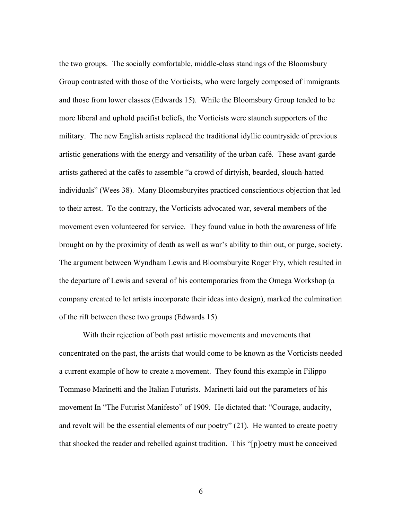the two groups. The socially comfortable, middle-class standings of the Bloomsbury Group contrasted with those of the Vorticists, who were largely composed of immigrants and those from lower classes (Edwards 15). While the Bloomsbury Group tended to be more liberal and uphold pacifist beliefs, the Vorticists were staunch supporters of the military. The new English artists replaced the traditional idyllic countryside of previous artistic generations with the energy and versatility of the urban café. These avant-garde artists gathered at the cafés to assemble "a crowd of dirtyish, bearded, slouch-hatted individuals" (Wees 38). Many Bloomsburyites practiced conscientious objection that led to their arrest. To the contrary, the Vorticists advocated war, several members of the movement even volunteered for service. They found value in both the awareness of life brought on by the proximity of death as well as war's ability to thin out, or purge, society. The argument between Wyndham Lewis and Bloomsburyite Roger Fry, which resulted in the departure of Lewis and several of his contemporaries from the Omega Workshop (a company created to let artists incorporate their ideas into design), marked the culmination of the rift between these two groups (Edwards 15).

With their rejection of both past artistic movements and movements that concentrated on the past, the artists that would come to be known as the Vorticists needed a current example of how to create a movement. They found this example in Filippo Tommaso Marinetti and the Italian Futurists. Marinetti laid out the parameters of his movement In "The Futurist Manifesto" of 1909. He dictated that: "Courage, audacity, and revolt will be the essential elements of our poetry" (21). He wanted to create poetry that shocked the reader and rebelled against tradition. This "[p]oetry must be conceived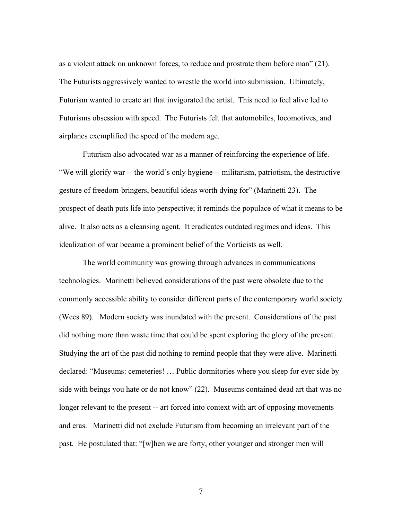as a violent attack on unknown forces, to reduce and prostrate them before man" (21). The Futurists aggressively wanted to wrestle the world into submission. Ultimately, Futurism wanted to create art that invigorated the artist. This need to feel alive led to Futurisms obsession with speed. The Futurists felt that automobiles, locomotives, and airplanes exemplified the speed of the modern age.

Futurism also advocated war as a manner of reinforcing the experience of life. "We will glorify war -- the world's only hygiene -- militarism, patriotism, the destructive gesture of freedom-bringers, beautiful ideas worth dying for" (Marinetti 23). The prospect of death puts life into perspective; it reminds the populace of what it means to be alive. It also acts as a cleansing agent. It eradicates outdated regimes and ideas. This idealization of war became a prominent belief of the Vorticists as well.

The world community was growing through advances in communications technologies. Marinetti believed considerations of the past were obsolete due to the commonly accessible ability to consider different parts of the contemporary world society (Wees 89). Modern society was inundated with the present. Considerations of the past did nothing more than waste time that could be spent exploring the glory of the present. Studying the art of the past did nothing to remind people that they were alive. Marinetti declared: "Museums: cemeteries! … Public dormitories where you sleep for ever side by side with beings you hate or do not know" (22). Museums contained dead art that was no longer relevant to the present -- art forced into context with art of opposing movements and eras. Marinetti did not exclude Futurism from becoming an irrelevant part of the past. He postulated that: "[w]hen we are forty, other younger and stronger men will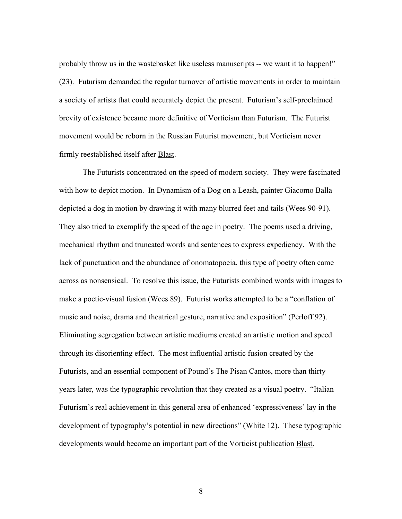probably throw us in the wastebasket like useless manuscripts -- we want it to happen!" (23). Futurism demanded the regular turnover of artistic movements in order to maintain a society of artists that could accurately depict the present. Futurism's self-proclaimed brevity of existence became more definitive of Vorticism than Futurism. The Futurist movement would be reborn in the Russian Futurist movement, but Vorticism never firmly reestablished itself after Blast.

The Futurists concentrated on the speed of modern society. They were fascinated with how to depict motion. In Dynamism of a Dog on a Leash, painter Giacomo Balla depicted a dog in motion by drawing it with many blurred feet and tails (Wees 90-91). They also tried to exemplify the speed of the age in poetry. The poems used a driving, mechanical rhythm and truncated words and sentences to express expediency. With the lack of punctuation and the abundance of onomatopoeia, this type of poetry often came across as nonsensical. To resolve this issue, the Futurists combined words with images to make a poetic-visual fusion (Wees 89). Futurist works attempted to be a "conflation of music and noise, drama and theatrical gesture, narrative and exposition" (Perloff 92). Eliminating segregation between artistic mediums created an artistic motion and speed through its disorienting effect. The most influential artistic fusion created by the Futurists, and an essential component of Pound's The Pisan Cantos, more than thirty years later, was the typographic revolution that they created as a visual poetry. "Italian Futurism's real achievement in this general area of enhanced 'expressiveness' lay in the development of typography's potential in new directions" (White 12). These typographic developments would become an important part of the Vorticist publication Blast.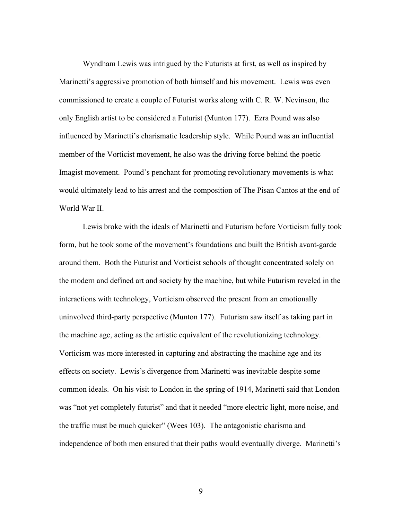Wyndham Lewis was intrigued by the Futurists at first, as well as inspired by Marinetti's aggressive promotion of both himself and his movement. Lewis was even commissioned to create a couple of Futurist works along with C. R. W. Nevinson, the only English artist to be considered a Futurist (Munton 177). Ezra Pound was also influenced by Marinetti's charismatic leadership style. While Pound was an influential member of the Vorticist movement, he also was the driving force behind the poetic Imagist movement. Pound's penchant for promoting revolutionary movements is what would ultimately lead to his arrest and the composition of **The Pisan Cantos** at the end of World War II.

Lewis broke with the ideals of Marinetti and Futurism before Vorticism fully took form, but he took some of the movement's foundations and built the British avant-garde around them. Both the Futurist and Vorticist schools of thought concentrated solely on the modern and defined art and society by the machine, but while Futurism reveled in the interactions with technology, Vorticism observed the present from an emotionally uninvolved third-party perspective (Munton 177). Futurism saw itself as taking part in the machine age, acting as the artistic equivalent of the revolutionizing technology. Vorticism was more interested in capturing and abstracting the machine age and its effects on society. Lewis's divergence from Marinetti was inevitable despite some common ideals. On his visit to London in the spring of 1914, Marinetti said that London was "not yet completely futurist" and that it needed "more electric light, more noise, and the traffic must be much quicker" (Wees 103). The antagonistic charisma and independence of both men ensured that their paths would eventually diverge. Marinetti's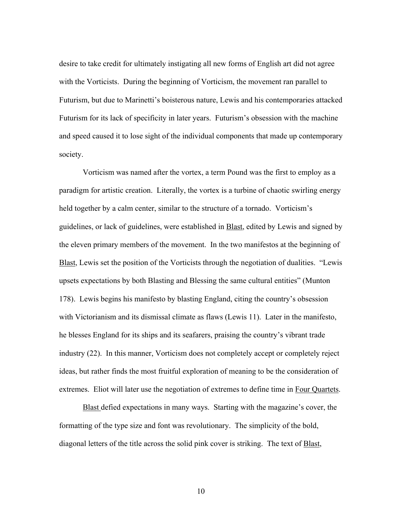desire to take credit for ultimately instigating all new forms of English art did not agree with the Vorticists. During the beginning of Vorticism, the movement ran parallel to Futurism, but due to Marinetti's boisterous nature, Lewis and his contemporaries attacked Futurism for its lack of specificity in later years. Futurism's obsession with the machine and speed caused it to lose sight of the individual components that made up contemporary society.

Vorticism was named after the vortex, a term Pound was the first to employ as a paradigm for artistic creation. Literally, the vortex is a turbine of chaotic swirling energy held together by a calm center, similar to the structure of a tornado. Vorticism's guidelines, or lack of guidelines, were established in Blast, edited by Lewis and signed by the eleven primary members of the movement. In the two manifestos at the beginning of Blast, Lewis set the position of the Vorticists through the negotiation of dualities. "Lewis" upsets expectations by both Blasting and Blessing the same cultural entities" (Munton 178). Lewis begins his manifesto by blasting England, citing the country's obsession with Victorianism and its dismissal climate as flaws (Lewis 11). Later in the manifesto, he blesses England for its ships and its seafarers, praising the country's vibrant trade industry (22). In this manner, Vorticism does not completely accept or completely reject ideas, but rather finds the most fruitful exploration of meaning to be the consideration of extremes. Eliot will later use the negotiation of extremes to define time in Four Quartets.

Blast defied expectations in many ways. Starting with the magazine's cover, the formatting of the type size and font was revolutionary. The simplicity of the bold, diagonal letters of the title across the solid pink cover is striking. The text of Blast,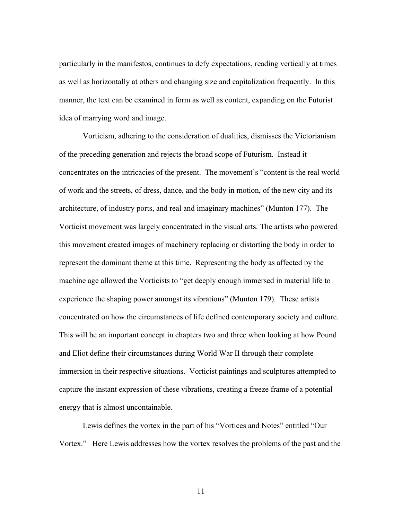particularly in the manifestos, continues to defy expectations, reading vertically at times as well as horizontally at others and changing size and capitalization frequently. In this manner, the text can be examined in form as well as content, expanding on the Futurist idea of marrying word and image.

Vorticism, adhering to the consideration of dualities, dismisses the Victorianism of the preceding generation and rejects the broad scope of Futurism. Instead it concentrates on the intricacies of the present. The movement's "content is the real world of work and the streets, of dress, dance, and the body in motion, of the new city and its architecture, of industry ports, and real and imaginary machines" (Munton 177). The Vorticist movement was largely concentrated in the visual arts. The artists who powered this movement created images of machinery replacing or distorting the body in order to represent the dominant theme at this time. Representing the body as affected by the machine age allowed the Vorticists to "get deeply enough immersed in material life to experience the shaping power amongst its vibrations" (Munton 179). These artists concentrated on how the circumstances of life defined contemporary society and culture. This will be an important concept in chapters two and three when looking at how Pound and Eliot define their circumstances during World War II through their complete immersion in their respective situations. Vorticist paintings and sculptures attempted to capture the instant expression of these vibrations, creating a freeze frame of a potential energy that is almost uncontainable.

Lewis defines the vortex in the part of his "Vortices and Notes" entitled "Our Vortex." Here Lewis addresses how the vortex resolves the problems of the past and the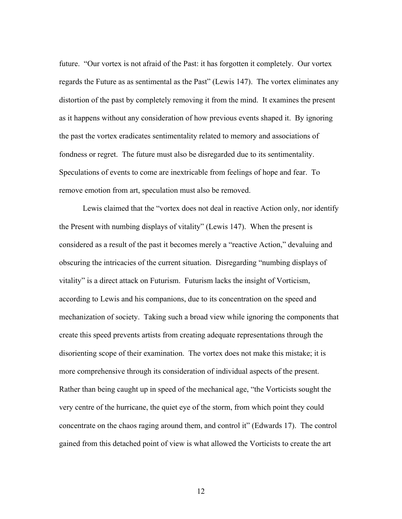future. "Our vortex is not afraid of the Past: it has forgotten it completely. Our vortex regards the Future as as sentimental as the Past" (Lewis 147). The vortex eliminates any distortion of the past by completely removing it from the mind. It examines the present as it happens without any consideration of how previous events shaped it. By ignoring the past the vortex eradicates sentimentality related to memory and associations of fondness or regret. The future must also be disregarded due to its sentimentality. Speculations of events to come are inextricable from feelings of hope and fear. To remove emotion from art, speculation must also be removed.

Lewis claimed that the "vortex does not deal in reactive Action only, nor identify the Present with numbing displays of vitality" (Lewis 147). When the present is considered as a result of the past it becomes merely a "reactive Action," devaluing and obscuring the intricacies of the current situation. Disregarding "numbing displays of vitality" is a direct attack on Futurism. Futurism lacks the insight of Vorticism, according to Lewis and his companions, due to its concentration on the speed and mechanization of society. Taking such a broad view while ignoring the components that create this speed prevents artists from creating adequate representations through the disorienting scope of their examination. The vortex does not make this mistake; it is more comprehensive through its consideration of individual aspects of the present. Rather than being caught up in speed of the mechanical age, "the Vorticists sought the very centre of the hurricane, the quiet eye of the storm, from which point they could concentrate on the chaos raging around them, and control it" (Edwards 17). The control gained from this detached point of view is what allowed the Vorticists to create the art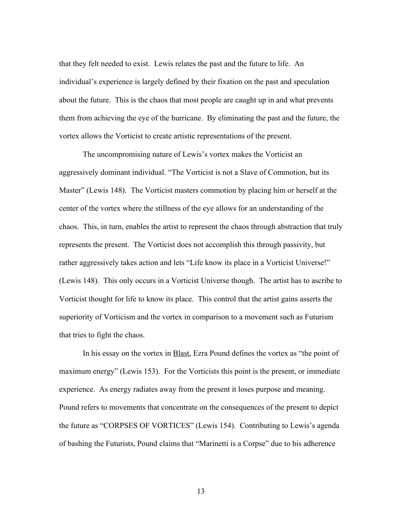that they felt needed to exist. Lewis relates the past and the future to life. An individual's experience is largely defined by their fixation on the past and speculation about the future. This is the chaos that most people are caught up in and what prevents them from achieving the eye of the hurricane. By eliminating the past and the future, the vortex allows the Vorticist to create artistic representations of the present.

The uncompromising nature of Lewis's vortex makes the Vorticist an aggressively dominant individual. "The Vorticist is not a Slave of Commotion, but its Master" (Lewis 148). The Vorticist masters commotion by placing him or herself at the center of the vortex where the stillness of the eye allows for an understanding of the chaos. This, in turn, enables the artist to represent the chaos through abstraction that truly represents the present. The Vorticist does not accomplish this through passivity, but rather aggressively takes action and lets "Life know its place in a Vorticist Universe!" (Lewis 148). This only occurs in a Vorticist Universe though. The artist has to ascribe to Vorticist thought for life to know its place. This control that the artist gains asserts the superiority of Vorticism and the vortex in comparison to a movement such as Futurism that tries to fight the chaos.

In his essay on the vortex in **Blast**, Ezra Pound defines the vortex as "the point of maximum energy" (Lewis 153). For the Vorticists this point is the present, or immediate experience. As energy radiates away from the present it loses purpose and meaning. Pound refers to movements that concentrate on the consequences of the present to depict the future as "CORPSES OF VORTICES" (Lewis 154). Contributing to Lewis's agenda of bashing the Futurists, Pound claims that "Marinetti is a Corpse" due to his adherence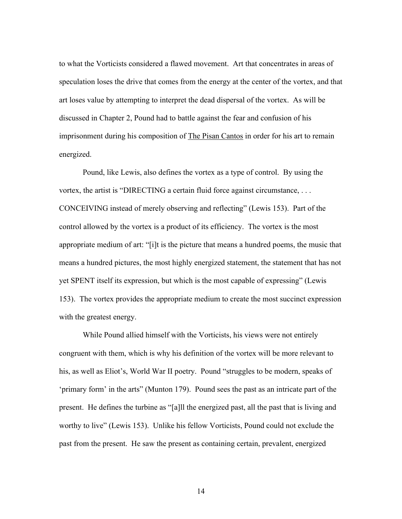to what the Vorticists considered a flawed movement. Art that concentrates in areas of speculation loses the drive that comes from the energy at the center of the vortex, and that art loses value by attempting to interpret the dead dispersal of the vortex. As will be discussed in Chapter 2, Pound had to battle against the fear and confusion of his imprisonment during his composition of The Pisan Cantos in order for his art to remain energized.

Pound, like Lewis, also defines the vortex as a type of control. By using the vortex, the artist is "DIRECTING a certain fluid force against circumstance, . . . CONCEIVING instead of merely observing and reflecting" (Lewis 153). Part of the control allowed by the vortex is a product of its efficiency. The vortex is the most appropriate medium of art: "[i]t is the picture that means a hundred poems, the music that means a hundred pictures, the most highly energized statement, the statement that has not yet SPENT itself its expression, but which is the most capable of expressing" (Lewis 153). The vortex provides the appropriate medium to create the most succinct expression with the greatest energy.

While Pound allied himself with the Vorticists, his views were not entirely congruent with them, which is why his definition of the vortex will be more relevant to his, as well as Eliot's, World War II poetry. Pound "struggles to be modern, speaks of 'primary form' in the arts" (Munton 179). Pound sees the past as an intricate part of the present. He defines the turbine as "[a]ll the energized past, all the past that is living and worthy to live" (Lewis 153). Unlike his fellow Vorticists, Pound could not exclude the past from the present. He saw the present as containing certain, prevalent, energized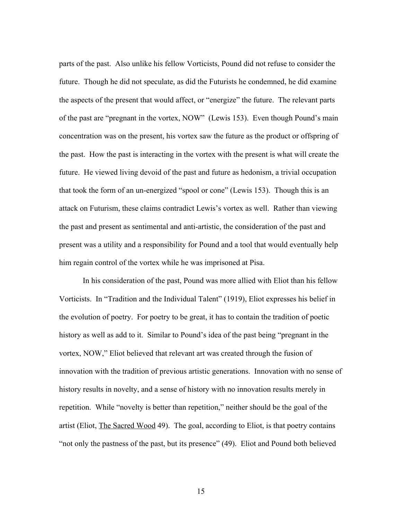parts of the past. Also unlike his fellow Vorticists, Pound did not refuse to consider the future. Though he did not speculate, as did the Futurists he condemned, he did examine the aspects of the present that would affect, or "energize" the future. The relevant parts of the past are "pregnant in the vortex, NOW" (Lewis 153). Even though Pound's main concentration was on the present, his vortex saw the future as the product or offspring of the past. How the past is interacting in the vortex with the present is what will create the future. He viewed living devoid of the past and future as hedonism, a trivial occupation that took the form of an un-energized "spool or cone" (Lewis 153). Though this is an attack on Futurism, these claims contradict Lewis's vortex as well. Rather than viewing the past and present as sentimental and anti-artistic, the consideration of the past and present was a utility and a responsibility for Pound and a tool that would eventually help him regain control of the vortex while he was imprisoned at Pisa.

In his consideration of the past, Pound was more allied with Eliot than his fellow Vorticists. In "Tradition and the Individual Talent" (1919), Eliot expresses his belief in the evolution of poetry. For poetry to be great, it has to contain the tradition of poetic history as well as add to it. Similar to Pound's idea of the past being "pregnant in the vortex, NOW," Eliot believed that relevant art was created through the fusion of innovation with the tradition of previous artistic generations. Innovation with no sense of history results in novelty, and a sense of history with no innovation results merely in repetition. While "novelty is better than repetition," neither should be the goal of the artist (Eliot, The Sacred Wood 49). The goal, according to Eliot, is that poetry contains "not only the pastness of the past, but its presence" (49). Eliot and Pound both believed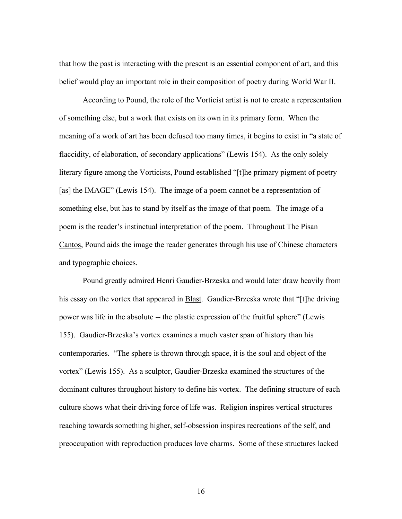that how the past is interacting with the present is an essential component of art, and this belief would play an important role in their composition of poetry during World War II.

According to Pound, the role of the Vorticist artist is not to create a representation of something else, but a work that exists on its own in its primary form. When the meaning of a work of art has been defused too many times, it begins to exist in "a state of flaccidity, of elaboration, of secondary applications" (Lewis 154). As the only solely literary figure among the Vorticists, Pound established "[t]he primary pigment of poetry [as] the IMAGE" (Lewis 154). The image of a poem cannot be a representation of something else, but has to stand by itself as the image of that poem. The image of a poem is the reader's instinctual interpretation of the poem. Throughout The Pisan Cantos, Pound aids the image the reader generates through his use of Chinese characters and typographic choices.

Pound greatly admired Henri Gaudier-Brzeska and would later draw heavily from his essay on the vortex that appeared in Blast. Gaudier-Brzeska wrote that "[t]he driving power was life in the absolute -- the plastic expression of the fruitful sphere" (Lewis 155). Gaudier-Brzeska's vortex examines a much vaster span of history than his contemporaries. "The sphere is thrown through space, it is the soul and object of the vortex" (Lewis 155). As a sculptor, Gaudier-Brzeska examined the structures of the dominant cultures throughout history to define his vortex. The defining structure of each culture shows what their driving force of life was. Religion inspires vertical structures reaching towards something higher, self-obsession inspires recreations of the self, and preoccupation with reproduction produces love charms. Some of these structures lacked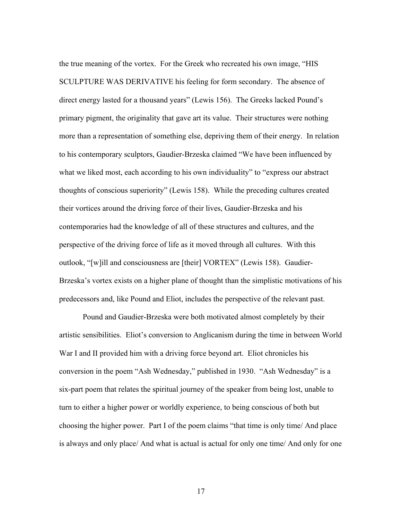the true meaning of the vortex. For the Greek who recreated his own image, "HIS SCULPTURE WAS DERIVATIVE his feeling for form secondary. The absence of direct energy lasted for a thousand years" (Lewis 156). The Greeks lacked Pound's primary pigment, the originality that gave art its value. Their structures were nothing more than a representation of something else, depriving them of their energy. In relation to his contemporary sculptors, Gaudier-Brzeska claimed "We have been influenced by what we liked most, each according to his own individuality" to "express our abstract thoughts of conscious superiority" (Lewis 158). While the preceding cultures created their vortices around the driving force of their lives, Gaudier-Brzeska and his contemporaries had the knowledge of all of these structures and cultures, and the perspective of the driving force of life as it moved through all cultures. With this outlook, "[w]ill and consciousness are [their] VORTEX" (Lewis 158). Gaudier-Brzeska's vortex exists on a higher plane of thought than the simplistic motivations of his predecessors and, like Pound and Eliot, includes the perspective of the relevant past.

Pound and Gaudier-Brzeska were both motivated almost completely by their artistic sensibilities. Eliot's conversion to Anglicanism during the time in between World War I and II provided him with a driving force beyond art. Eliot chronicles his conversion in the poem "Ash Wednesday," published in 1930. "Ash Wednesday" is a six-part poem that relates the spiritual journey of the speaker from being lost, unable to turn to either a higher power or worldly experience, to being conscious of both but choosing the higher power. Part I of the poem claims "that time is only time/ And place is always and only place/ And what is actual is actual for only one time/ And only for one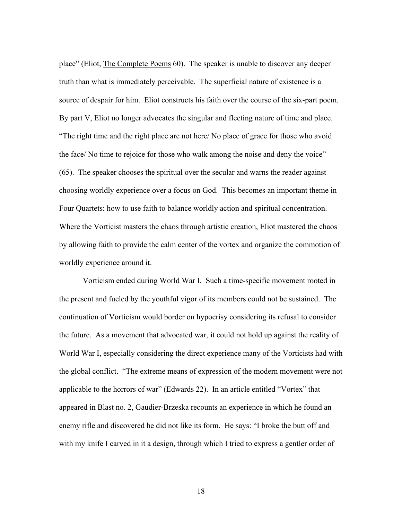place" (Eliot, The Complete Poems 60). The speaker is unable to discover any deeper truth than what is immediately perceivable. The superficial nature of existence is a source of despair for him. Eliot constructs his faith over the course of the six-part poem. By part V, Eliot no longer advocates the singular and fleeting nature of time and place. "The right time and the right place are not here/ No place of grace for those who avoid the face/ No time to rejoice for those who walk among the noise and deny the voice" (65). The speaker chooses the spiritual over the secular and warns the reader against choosing worldly experience over a focus on God. This becomes an important theme in Four Quartets: how to use faith to balance worldly action and spiritual concentration. Where the Vorticist masters the chaos through artistic creation, Eliot mastered the chaos by allowing faith to provide the calm center of the vortex and organize the commotion of worldly experience around it.

Vorticism ended during World War I. Such a time-specific movement rooted in the present and fueled by the youthful vigor of its members could not be sustained. The continuation of Vorticism would border on hypocrisy considering its refusal to consider the future. As a movement that advocated war, it could not hold up against the reality of World War I, especially considering the direct experience many of the Vorticists had with the global conflict. "The extreme means of expression of the modern movement were not applicable to the horrors of war" (Edwards 22). In an article entitled "Vortex" that appeared in Blast no. 2, Gaudier-Brzeska recounts an experience in which he found an enemy rifle and discovered he did not like its form. He says: "I broke the butt off and with my knife I carved in it a design, through which I tried to express a gentler order of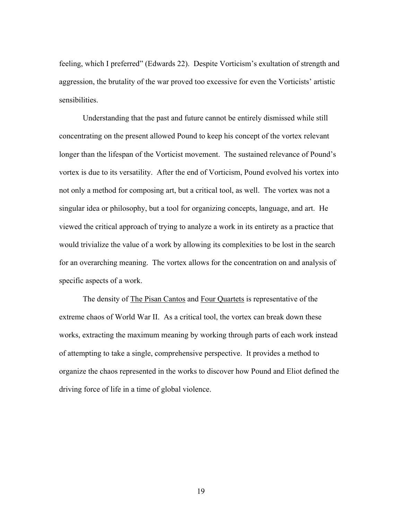feeling, which I preferred" (Edwards 22). Despite Vorticism's exultation of strength and aggression, the brutality of the war proved too excessive for even the Vorticists' artistic sensibilities.

Understanding that the past and future cannot be entirely dismissed while still concentrating on the present allowed Pound to keep his concept of the vortex relevant longer than the lifespan of the Vorticist movement. The sustained relevance of Pound's vortex is due to its versatility. After the end of Vorticism, Pound evolved his vortex into not only a method for composing art, but a critical tool, as well. The vortex was not a singular idea or philosophy, but a tool for organizing concepts, language, and art. He viewed the critical approach of trying to analyze a work in its entirety as a practice that would trivialize the value of a work by allowing its complexities to be lost in the search for an overarching meaning. The vortex allows for the concentration on and analysis of specific aspects of a work.

The density of The Pisan Cantos and Four Quartets is representative of the extreme chaos of World War II. As a critical tool, the vortex can break down these works, extracting the maximum meaning by working through parts of each work instead of attempting to take a single, comprehensive perspective. It provides a method to organize the chaos represented in the works to discover how Pound and Eliot defined the driving force of life in a time of global violence.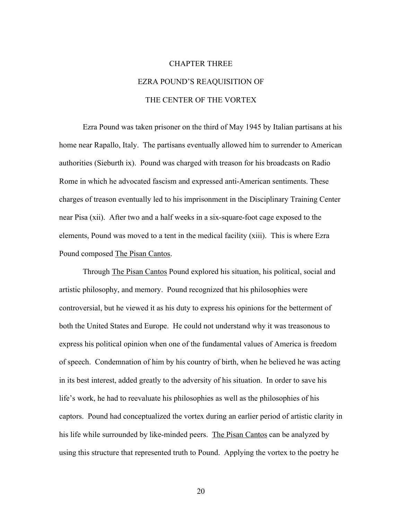# CHAPTER THREE EZRA POUND'S REAQUISITION OF THE CENTER OF THE VORTEX

Ezra Pound was taken prisoner on the third of May 1945 by Italian partisans at his home near Rapallo, Italy. The partisans eventually allowed him to surrender to American authorities (Sieburth ix). Pound was charged with treason for his broadcasts on Radio Rome in which he advocated fascism and expressed anti-American sentiments. These charges of treason eventually led to his imprisonment in the Disciplinary Training Center near Pisa (xii). After two and a half weeks in a six-square-foot cage exposed to the elements, Pound was moved to a tent in the medical facility (xiii). This is where Ezra Pound composed The Pisan Cantos.

Through The Pisan Cantos Pound explored his situation, his political, social and artistic philosophy, and memory. Pound recognized that his philosophies were controversial, but he viewed it as his duty to express his opinions for the betterment of both the United States and Europe. He could not understand why it was treasonous to express his political opinion when one of the fundamental values of America is freedom of speech. Condemnation of him by his country of birth, when he believed he was acting in its best interest, added greatly to the adversity of his situation. In order to save his life's work, he had to reevaluate his philosophies as well as the philosophies of his captors. Pound had conceptualized the vortex during an earlier period of artistic clarity in his life while surrounded by like-minded peers. The Pisan Cantos can be analyzed by using this structure that represented truth to Pound. Applying the vortex to the poetry he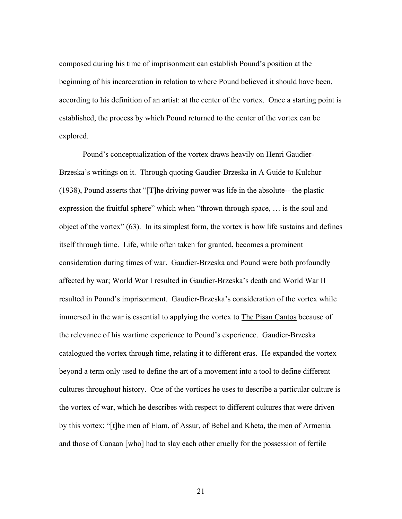composed during his time of imprisonment can establish Pound's position at the beginning of his incarceration in relation to where Pound believed it should have been, according to his definition of an artist: at the center of the vortex. Once a starting point is established, the process by which Pound returned to the center of the vortex can be explored.

Pound's conceptualization of the vortex draws heavily on Henri Gaudier-Brzeska's writings on it. Through quoting Gaudier-Brzeska in A Guide to Kulchur (1938), Pound asserts that "[T]he driving power was life in the absolute-- the plastic expression the fruitful sphere" which when "thrown through space, … is the soul and object of the vortex" (63). In its simplest form, the vortex is how life sustains and defines itself through time. Life, while often taken for granted, becomes a prominent consideration during times of war. Gaudier-Brzeska and Pound were both profoundly affected by war; World War I resulted in Gaudier-Brzeska's death and World War II resulted in Pound's imprisonment. Gaudier-Brzeska's consideration of the vortex while immersed in the war is essential to applying the vortex to The Pisan Cantos because of the relevance of his wartime experience to Pound's experience. Gaudier-Brzeska catalogued the vortex through time, relating it to different eras. He expanded the vortex beyond a term only used to define the art of a movement into a tool to define different cultures throughout history. One of the vortices he uses to describe a particular culture is the vortex of war, which he describes with respect to different cultures that were driven by this vortex: "[t]he men of Elam, of Assur, of Bebel and Kheta, the men of Armenia and those of Canaan [who] had to slay each other cruelly for the possession of fertile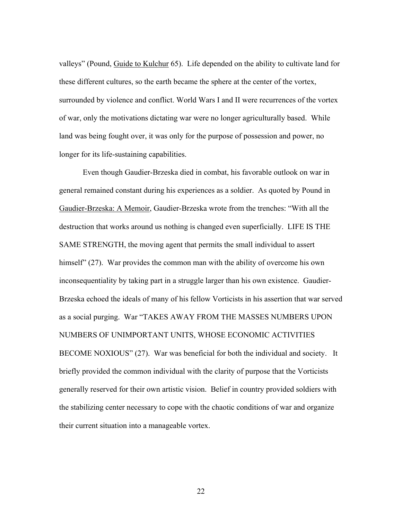valleys" (Pound, Guide to Kulchur 65). Life depended on the ability to cultivate land for these different cultures, so the earth became the sphere at the center of the vortex, surrounded by violence and conflict. World Wars I and II were recurrences of the vortex of war, only the motivations dictating war were no longer agriculturally based. While land was being fought over, it was only for the purpose of possession and power, no longer for its life-sustaining capabilities.

Even though Gaudier-Brzeska died in combat, his favorable outlook on war in general remained constant during his experiences as a soldier. As quoted by Pound in Gaudier-Brzeska: A Memoir, Gaudier-Brzeska wrote from the trenches: "With all the destruction that works around us nothing is changed even superficially. LIFE IS THE SAME STRENGTH, the moving agent that permits the small individual to assert himself" (27). War provides the common man with the ability of overcome his own inconsequentiality by taking part in a struggle larger than his own existence. Gaudier-Brzeska echoed the ideals of many of his fellow Vorticists in his assertion that war served as a social purging. War "TAKES AWAY FROM THE MASSES NUMBERS UPON NUMBERS OF UNIMPORTANT UNITS, WHOSE ECONOMIC ACTIVITIES BECOME NOXIOUS" (27). War was beneficial for both the individual and society. It briefly provided the common individual with the clarity of purpose that the Vorticists generally reserved for their own artistic vision. Belief in country provided soldiers with the stabilizing center necessary to cope with the chaotic conditions of war and organize their current situation into a manageable vortex.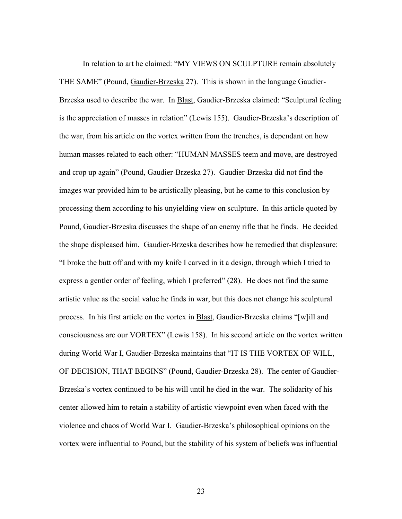In relation to art he claimed: "MY VIEWS ON SCULPTURE remain absolutely THE SAME" (Pound, Gaudier-Brzeska 27). This is shown in the language Gaudier-Brzeska used to describe the war. In Blast, Gaudier-Brzeska claimed: "Sculptural feeling is the appreciation of masses in relation" (Lewis 155). Gaudier-Brzeska's description of the war, from his article on the vortex written from the trenches, is dependant on how human masses related to each other: "HUMAN MASSES teem and move, are destroyed and crop up again" (Pound, Gaudier-Brzeska 27). Gaudier-Brzeska did not find the images war provided him to be artistically pleasing, but he came to this conclusion by processing them according to his unyielding view on sculpture. In this article quoted by Pound, Gaudier-Brzeska discusses the shape of an enemy rifle that he finds. He decided the shape displeased him. Gaudier-Brzeska describes how he remedied that displeasure: "I broke the butt off and with my knife I carved in it a design, through which I tried to express a gentler order of feeling, which I preferred" (28). He does not find the same artistic value as the social value he finds in war, but this does not change his sculptural process. In his first article on the vortex in **Blast**, Gaudier-Brzeska claims "[w]ill and consciousness are our VORTEX" (Lewis 158). In his second article on the vortex written during World War I, Gaudier-Brzeska maintains that "IT IS THE VORTEX OF WILL, OF DECISION, THAT BEGINS" (Pound, Gaudier-Brzeska 28). The center of Gaudier-Brzeska's vortex continued to be his will until he died in the war. The solidarity of his center allowed him to retain a stability of artistic viewpoint even when faced with the violence and chaos of World War I. Gaudier-Brzeska's philosophical opinions on the vortex were influential to Pound, but the stability of his system of beliefs was influential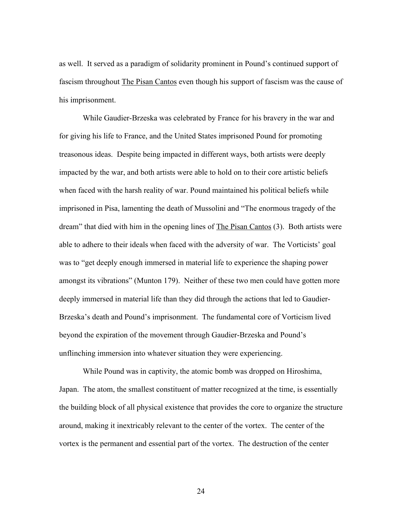as well. It served as a paradigm of solidarity prominent in Pound's continued support of fascism throughout The Pisan Cantos even though his support of fascism was the cause of his imprisonment.

While Gaudier-Brzeska was celebrated by France for his bravery in the war and for giving his life to France, and the United States imprisoned Pound for promoting treasonous ideas. Despite being impacted in different ways, both artists were deeply impacted by the war, and both artists were able to hold on to their core artistic beliefs when faced with the harsh reality of war. Pound maintained his political beliefs while imprisoned in Pisa, lamenting the death of Mussolini and "The enormous tragedy of the dream" that died with him in the opening lines of The Pisan Cantos (3). Both artists were able to adhere to their ideals when faced with the adversity of war. The Vorticists' goal was to "get deeply enough immersed in material life to experience the shaping power amongst its vibrations" (Munton 179). Neither of these two men could have gotten more deeply immersed in material life than they did through the actions that led to Gaudier-Brzeska's death and Pound's imprisonment. The fundamental core of Vorticism lived beyond the expiration of the movement through Gaudier-Brzeska and Pound's unflinching immersion into whatever situation they were experiencing.

While Pound was in captivity, the atomic bomb was dropped on Hiroshima, Japan. The atom, the smallest constituent of matter recognized at the time, is essentially the building block of all physical existence that provides the core to organize the structure around, making it inextricably relevant to the center of the vortex. The center of the vortex is the permanent and essential part of the vortex. The destruction of the center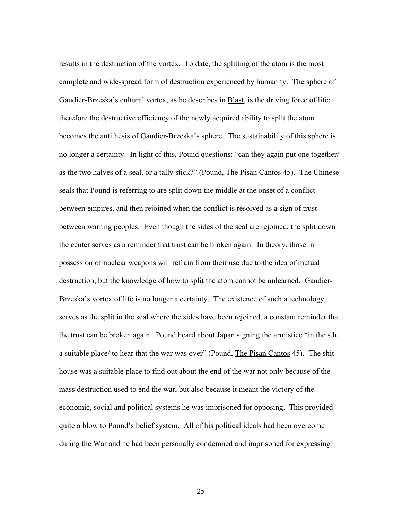results in the destruction of the vortex. To date, the splitting of the atom is the most complete and wide-spread form of destruction experienced by humanity. The sphere of Gaudier-Brzeska's cultural vortex, as he describes in Blast, is the driving force of life; therefore the destructive efficiency of the newly acquired ability to split the atom becomes the antithesis of Gaudier-Brzeska's sphere. The sustainability of this sphere is no longer a certainty. In light of this, Pound questions: "can they again put one together/ as the two halves of a seal, or a tally stick?" (Pound, The Pisan Cantos 45). The Chinese seals that Pound is referring to are split down the middle at the onset of a conflict between empires, and then rejoined when the conflict is resolved as a sign of trust between warring peoples. Even though the sides of the seal are rejoined, the split down the center serves as a reminder that trust can be broken again. In theory, those in possession of nuclear weapons will refrain from their use due to the idea of mutual destruction, but the knowledge of how to split the atom cannot be unlearned. Gaudier-Brzeska's vortex of life is no longer a certainty. The existence of such a technology serves as the split in the seal where the sides have been rejoined, a constant reminder that the trust can be broken again. Pound heard about Japan signing the armistice "in the s.h. a suitable place/ to hear that the war was over" (Pound, The Pisan Cantos 45). The shit house was a suitable place to find out about the end of the war not only because of the mass destruction used to end the war, but also because it meant the victory of the economic, social and political systems he was imprisoned for opposing. This provided quite a blow to Pound's belief system. All of his political ideals had been overcome during the War and he had been personally condemned and imprisoned for expressing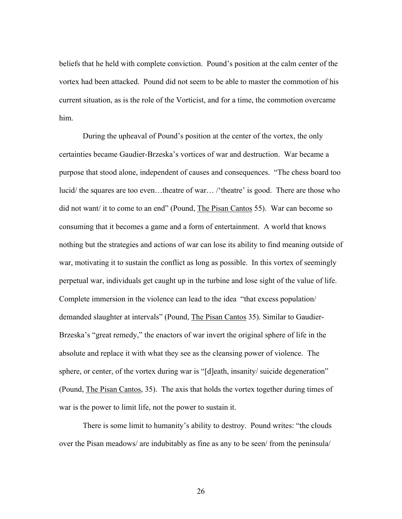beliefs that he held with complete conviction. Pound's position at the calm center of the vortex had been attacked. Pound did not seem to be able to master the commotion of his current situation, as is the role of the Vorticist, and for a time, the commotion overcame him.

During the upheaval of Pound's position at the center of the vortex, the only certainties became Gaudier-Brzeska's vortices of war and destruction. War became a purpose that stood alone, independent of causes and consequences. "The chess board too lucid/ the squares are too even...theatre of war.../'theatre' is good. There are those who did not want/ it to come to an end" (Pound, The Pisan Cantos 55). War can become so consuming that it becomes a game and a form of entertainment. A world that knows nothing but the strategies and actions of war can lose its ability to find meaning outside of war, motivating it to sustain the conflict as long as possible. In this vortex of seemingly perpetual war, individuals get caught up in the turbine and lose sight of the value of life. Complete immersion in the violence can lead to the idea "that excess population/ demanded slaughter at intervals" (Pound, The Pisan Cantos 35). Similar to Gaudier-Brzeska's "great remedy," the enactors of war invert the original sphere of life in the absolute and replace it with what they see as the cleansing power of violence. The sphere, or center, of the vortex during war is "[d]eath, insanity/ suicide degeneration" (Pound, The Pisan Cantos, 35). The axis that holds the vortex together during times of war is the power to limit life, not the power to sustain it.

There is some limit to humanity's ability to destroy. Pound writes: "the clouds over the Pisan meadows/ are indubitably as fine as any to be seen/ from the peninsula/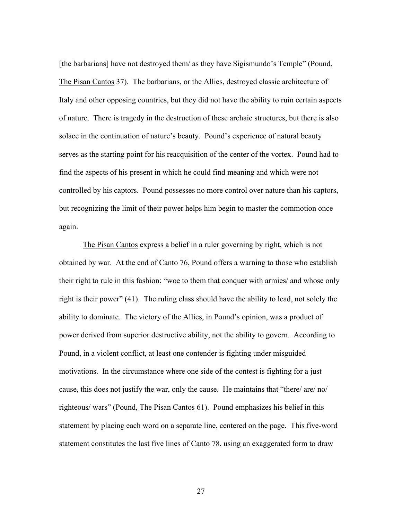[the barbarians] have not destroyed them/ as they have Sigismundo's Temple" (Pound, The Pisan Cantos 37). The barbarians, or the Allies, destroyed classic architecture of Italy and other opposing countries, but they did not have the ability to ruin certain aspects of nature. There is tragedy in the destruction of these archaic structures, but there is also solace in the continuation of nature's beauty. Pound's experience of natural beauty serves as the starting point for his reacquisition of the center of the vortex. Pound had to find the aspects of his present in which he could find meaning and which were not controlled by his captors. Pound possesses no more control over nature than his captors, but recognizing the limit of their power helps him begin to master the commotion once again.

The Pisan Cantos express a belief in a ruler governing by right, which is not obtained by war. At the end of Canto 76, Pound offers a warning to those who establish their right to rule in this fashion: "woe to them that conquer with armies/ and whose only right is their power" (41). The ruling class should have the ability to lead, not solely the ability to dominate. The victory of the Allies, in Pound's opinion, was a product of power derived from superior destructive ability, not the ability to govern. According to Pound, in a violent conflict, at least one contender is fighting under misguided motivations. In the circumstance where one side of the contest is fighting for a just cause, this does not justify the war, only the cause. He maintains that "there/ are/ no/ righteous/ wars" (Pound, The Pisan Cantos 61). Pound emphasizes his belief in this statement by placing each word on a separate line, centered on the page. This five-word statement constitutes the last five lines of Canto 78, using an exaggerated form to draw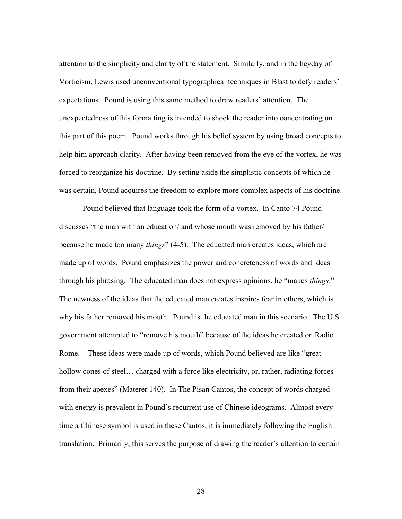attention to the simplicity and clarity of the statement. Similarly, and in the heyday of Vorticism, Lewis used unconventional typographical techniques in **Blast** to defy readers' expectations. Pound is using this same method to draw readers' attention. The unexpectedness of this formatting is intended to shock the reader into concentrating on this part of this poem. Pound works through his belief system by using broad concepts to help him approach clarity. After having been removed from the eye of the vortex, he was forced to reorganize his doctrine. By setting aside the simplistic concepts of which he was certain, Pound acquires the freedom to explore more complex aspects of his doctrine.

Pound believed that language took the form of a vortex. In Canto 74 Pound discusses "the man with an education/ and whose mouth was removed by his father/ because he made too many *things*" (4-5). The educated man creates ideas, which are made up of words. Pound emphasizes the power and concreteness of words and ideas through his phrasing. The educated man does not express opinions, he "makes *things*." The newness of the ideas that the educated man creates inspires fear in others, which is why his father removed his mouth. Pound is the educated man in this scenario. The U.S. government attempted to "remove his mouth" because of the ideas he created on Radio Rome. These ideas were made up of words, which Pound believed are like "great hollow cones of steel... charged with a force like electricity, or, rather, radiating forces from their apexes" (Materer 140). In The Pisan Cantos, the concept of words charged with energy is prevalent in Pound's recurrent use of Chinese ideograms. Almost every time a Chinese symbol is used in these Cantos, it is immediately following the English translation. Primarily, this serves the purpose of drawing the reader's attention to certain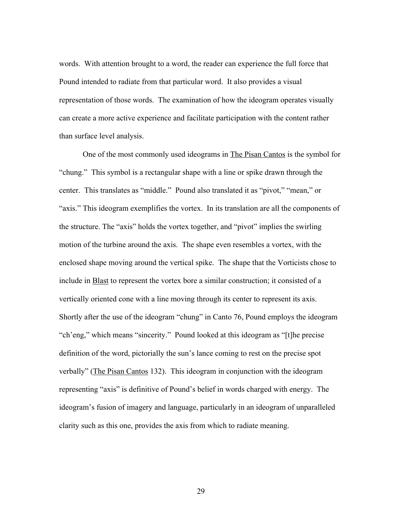words. With attention brought to a word, the reader can experience the full force that Pound intended to radiate from that particular word. It also provides a visual representation of those words. The examination of how the ideogram operates visually can create a more active experience and facilitate participation with the content rather than surface level analysis.

One of the most commonly used ideograms in The Pisan Cantos is the symbol for "chung." This symbol is a rectangular shape with a line or spike drawn through the center. This translates as "middle." Pound also translated it as "pivot," "mean," or "axis." This ideogram exemplifies the vortex. In its translation are all the components of the structure. The "axis" holds the vortex together, and "pivot" implies the swirling motion of the turbine around the axis. The shape even resembles a vortex, with the enclosed shape moving around the vertical spike. The shape that the Vorticists chose to include in Blast to represent the vortex bore a similar construction; it consisted of a vertically oriented cone with a line moving through its center to represent its axis. Shortly after the use of the ideogram "chung" in Canto 76, Pound employs the ideogram "ch'eng," which means "sincerity." Pound looked at this ideogram as "[t]he precise definition of the word, pictorially the sun's lance coming to rest on the precise spot verbally" (The Pisan Cantos 132). This ideogram in conjunction with the ideogram representing "axis" is definitive of Pound's belief in words charged with energy. The ideogram's fusion of imagery and language, particularly in an ideogram of unparalleled clarity such as this one, provides the axis from which to radiate meaning.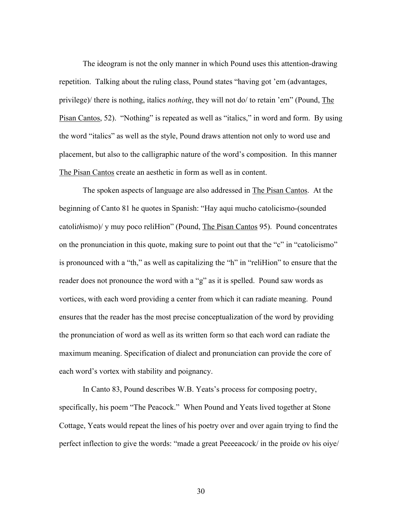The ideogram is not the only manner in which Pound uses this attention-drawing repetition. Talking about the ruling class, Pound states "having got 'em (advantages, privilege)/ there is nothing, italics *nothing*, they will not do/ to retain 'em" (Pound, The Pisan Cantos, 52). "Nothing" is repeated as well as "italics," in word and form. By using the word "italics" as well as the style, Pound draws attention not only to word use and placement, but also to the calligraphic nature of the word's composition. In this manner The Pisan Cantos create an aesthetic in form as well as in content.

The spoken aspects of language are also addressed in The Pisan Cantos. At the beginning of Canto 81 he quotes in Spanish: "Hay aqui mucho catolicismo-(sounded catoli*th*ismo)/ y muy poco reliHion" (Pound, The Pisan Cantos 95). Pound concentrates on the pronunciation in this quote, making sure to point out that the "c" in "catolicismo" is pronounced with a "th," as well as capitalizing the "h" in "reliHion" to ensure that the reader does not pronounce the word with a "g" as it is spelled. Pound saw words as vortices, with each word providing a center from which it can radiate meaning. Pound ensures that the reader has the most precise conceptualization of the word by providing the pronunciation of word as well as its written form so that each word can radiate the maximum meaning. Specification of dialect and pronunciation can provide the core of each word's vortex with stability and poignancy.

In Canto 83, Pound describes W.B. Yeats's process for composing poetry, specifically, his poem "The Peacock." When Pound and Yeats lived together at Stone Cottage, Yeats would repeat the lines of his poetry over and over again trying to find the perfect inflection to give the words: "made a great Peeeeacock/ in the proide ov his oiye/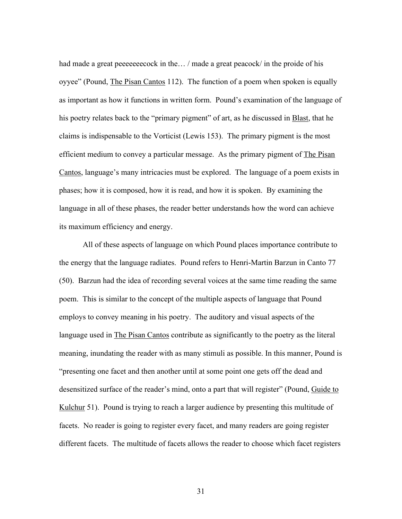had made a great peeeeeeecock in the... / made a great peacock/ in the proide of his oyyee" (Pound, The Pisan Cantos 112). The function of a poem when spoken is equally as important as how it functions in written form. Pound's examination of the language of his poetry relates back to the "primary pigment" of art, as he discussed in **Blast**, that he claims is indispensable to the Vorticist (Lewis 153). The primary pigment is the most efficient medium to convey a particular message. As the primary pigment of The Pisan Cantos, language's many intricacies must be explored. The language of a poem exists in phases; how it is composed, how it is read, and how it is spoken. By examining the language in all of these phases, the reader better understands how the word can achieve its maximum efficiency and energy.

All of these aspects of language on which Pound places importance contribute to the energy that the language radiates. Pound refers to Henri-Martin Barzun in Canto 77 (50). Barzun had the idea of recording several voices at the same time reading the same poem. This is similar to the concept of the multiple aspects of language that Pound employs to convey meaning in his poetry. The auditory and visual aspects of the language used in The Pisan Cantos contribute as significantly to the poetry as the literal meaning, inundating the reader with as many stimuli as possible. In this manner, Pound is "presenting one facet and then another until at some point one gets off the dead and desensitized surface of the reader's mind, onto a part that will register" (Pound, Guide to Kulchur 51). Pound is trying to reach a larger audience by presenting this multitude of facets. No reader is going to register every facet, and many readers are going register different facets. The multitude of facets allows the reader to choose which facet registers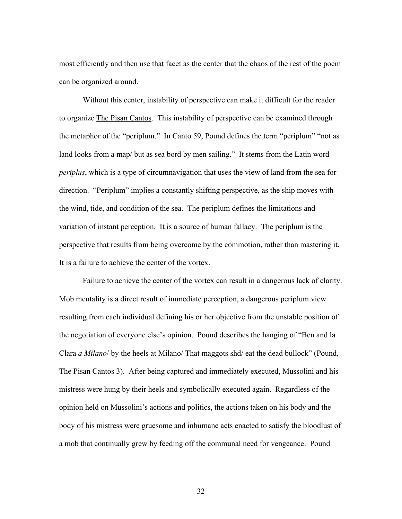most efficiently and then use that facet as the center that the chaos of the rest of the poem can be organized around.

Without this center, instability of perspective can make it difficult for the reader to organize The Pisan Cantos. This instability of perspective can be examined through the metaphor of the "periplum." In Canto 59, Pound defines the term "periplum" "not as land looks from a map/ but as sea bord by men sailing." It stems from the Latin word *periplus*, which is a type of circumnavigation that uses the view of land from the sea for direction. "Periplum" implies a constantly shifting perspective, as the ship moves with the wind, tide, and condition of the sea. The periplum defines the limitations and variation of instant perception. It is a source of human fallacy. The periplum is the perspective that results from being overcome by the commotion, rather than mastering it. It is a failure to achieve the center of the vortex.

Failure to achieve the center of the vortex can result in a dangerous lack of clarity. Mob mentality is a direct result of immediate perception, a dangerous periplum view resulting from each individual defining his or her objective from the unstable position of the negotiation of everyone else's opinion. Pound describes the hanging of "Ben and la Clara *a Milano*/ by the heels at Milano/ That maggots shd/ eat the dead bullock" (Pound, The Pisan Cantos 3). After being captured and immediately executed, Mussolini and his mistress were hung by their heels and symbolically executed again. Regardless of the opinion held on Mussolini's actions and politics, the actions taken on his body and the body of his mistress were gruesome and inhumane acts enacted to satisfy the bloodlust of a mob that continually grew by feeding off the communal need for vengeance. Pound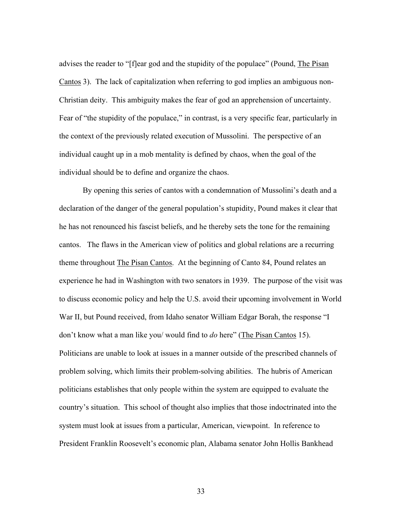advises the reader to "[f]ear god and the stupidity of the populace" (Pound, The Pisan Cantos 3). The lack of capitalization when referring to god implies an ambiguous non-Christian deity. This ambiguity makes the fear of god an apprehension of uncertainty. Fear of "the stupidity of the populace," in contrast, is a very specific fear, particularly in the context of the previously related execution of Mussolini. The perspective of an individual caught up in a mob mentality is defined by chaos, when the goal of the individual should be to define and organize the chaos.

By opening this series of cantos with a condemnation of Mussolini's death and a declaration of the danger of the general population's stupidity, Pound makes it clear that he has not renounced his fascist beliefs, and he thereby sets the tone for the remaining cantos. The flaws in the American view of politics and global relations are a recurring theme throughout The Pisan Cantos. At the beginning of Canto 84, Pound relates an experience he had in Washington with two senators in 1939. The purpose of the visit was to discuss economic policy and help the U.S. avoid their upcoming involvement in World War II, but Pound received, from Idaho senator William Edgar Borah, the response "I don't know what a man like you/ would find to *do* here" (The Pisan Cantos 15). Politicians are unable to look at issues in a manner outside of the prescribed channels of problem solving, which limits their problem-solving abilities. The hubris of American politicians establishes that only people within the system are equipped to evaluate the country's situation. This school of thought also implies that those indoctrinated into the system must look at issues from a particular, American, viewpoint. In reference to President Franklin Roosevelt's economic plan, Alabama senator John Hollis Bankhead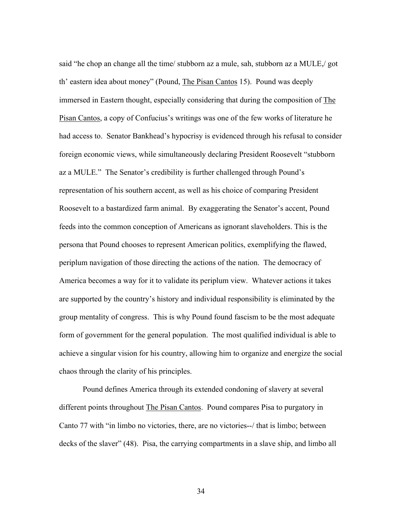said "he chop an change all the time/ stubborn az a mule, sah, stubborn az a MULE,/ got th' eastern idea about money" (Pound, The Pisan Cantos 15). Pound was deeply immersed in Eastern thought, especially considering that during the composition of The Pisan Cantos, a copy of Confucius's writings was one of the few works of literature he had access to. Senator Bankhead's hypocrisy is evidenced through his refusal to consider foreign economic views, while simultaneously declaring President Roosevelt "stubborn az a MULE." The Senator's credibility is further challenged through Pound's representation of his southern accent, as well as his choice of comparing President Roosevelt to a bastardized farm animal. By exaggerating the Senator's accent, Pound feeds into the common conception of Americans as ignorant slaveholders. This is the persona that Pound chooses to represent American politics, exemplifying the flawed, periplum navigation of those directing the actions of the nation. The democracy of America becomes a way for it to validate its periplum view. Whatever actions it takes are supported by the country's history and individual responsibility is eliminated by the group mentality of congress. This is why Pound found fascism to be the most adequate form of government for the general population. The most qualified individual is able to achieve a singular vision for his country, allowing him to organize and energize the social chaos through the clarity of his principles.

Pound defines America through its extended condoning of slavery at several different points throughout The Pisan Cantos. Pound compares Pisa to purgatory in Canto 77 with "in limbo no victories, there, are no victories--/ that is limbo; between decks of the slaver" (48). Pisa, the carrying compartments in a slave ship, and limbo all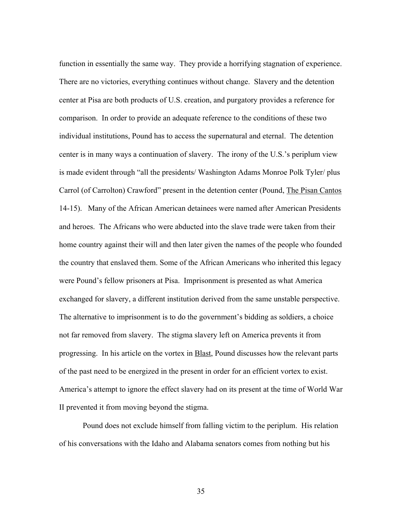function in essentially the same way. They provide a horrifying stagnation of experience. There are no victories, everything continues without change. Slavery and the detention center at Pisa are both products of U.S. creation, and purgatory provides a reference for comparison. In order to provide an adequate reference to the conditions of these two individual institutions, Pound has to access the supernatural and eternal. The detention center is in many ways a continuation of slavery. The irony of the U.S.'s periplum view is made evident through "all the presidents/ Washington Adams Monroe Polk Tyler/ plus Carrol (of Carrolton) Crawford" present in the detention center (Pound, The Pisan Cantos 14-15). Many of the African American detainees were named after American Presidents and heroes. The Africans who were abducted into the slave trade were taken from their home country against their will and then later given the names of the people who founded the country that enslaved them. Some of the African Americans who inherited this legacy were Pound's fellow prisoners at Pisa. Imprisonment is presented as what America exchanged for slavery, a different institution derived from the same unstable perspective. The alternative to imprisonment is to do the government's bidding as soldiers, a choice not far removed from slavery. The stigma slavery left on America prevents it from progressing. In his article on the vortex in **Blast**, Pound discusses how the relevant parts of the past need to be energized in the present in order for an efficient vortex to exist. America's attempt to ignore the effect slavery had on its present at the time of World War II prevented it from moving beyond the stigma.

Pound does not exclude himself from falling victim to the periplum. His relation of his conversations with the Idaho and Alabama senators comes from nothing but his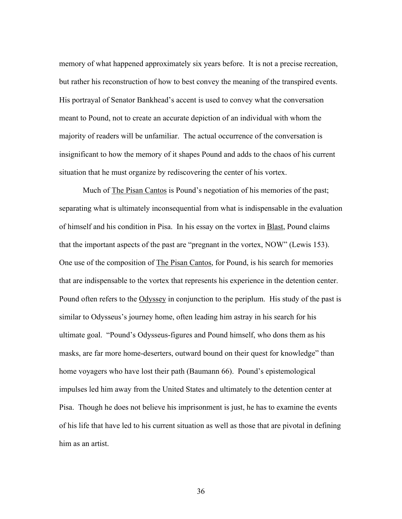memory of what happened approximately six years before. It is not a precise recreation, but rather his reconstruction of how to best convey the meaning of the transpired events. His portrayal of Senator Bankhead's accent is used to convey what the conversation meant to Pound, not to create an accurate depiction of an individual with whom the majority of readers will be unfamiliar. The actual occurrence of the conversation is insignificant to how the memory of it shapes Pound and adds to the chaos of his current situation that he must organize by rediscovering the center of his vortex.

Much of The Pisan Cantos is Pound's negotiation of his memories of the past; separating what is ultimately inconsequential from what is indispensable in the evaluation of himself and his condition in Pisa. In his essay on the vortex in **Blast**, Pound claims that the important aspects of the past are "pregnant in the vortex, NOW" (Lewis 153). One use of the composition of The Pisan Cantos, for Pound, is his search for memories that are indispensable to the vortex that represents his experience in the detention center. Pound often refers to the Odyssey in conjunction to the periplum. His study of the past is similar to Odysseus's journey home, often leading him astray in his search for his ultimate goal. "Pound's Odysseus-figures and Pound himself, who dons them as his masks, are far more home-deserters, outward bound on their quest for knowledge" than home voyagers who have lost their path (Baumann 66). Pound's epistemological impulses led him away from the United States and ultimately to the detention center at Pisa. Though he does not believe his imprisonment is just, he has to examine the events of his life that have led to his current situation as well as those that are pivotal in defining him as an artist.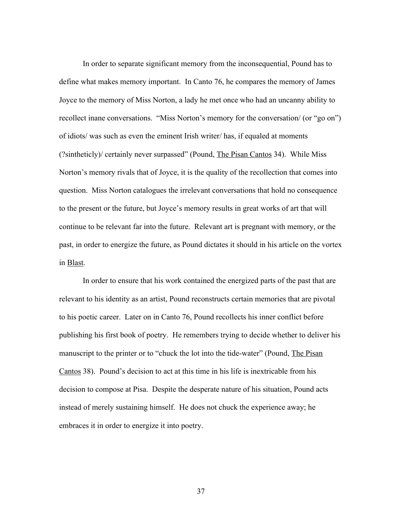In order to separate significant memory from the inconsequential, Pound has to define what makes memory important. In Canto 76, he compares the memory of James Joyce to the memory of Miss Norton, a lady he met once who had an uncanny ability to recollect inane conversations. "Miss Norton's memory for the conversation/ (or "go on") of idiots/ was such as even the eminent Irish writer/ has, if equaled at moments (?sintheticly)/ certainly never surpassed" (Pound, The Pisan Cantos 34). While Miss Norton's memory rivals that of Joyce, it is the quality of the recollection that comes into question. Miss Norton catalogues the irrelevant conversations that hold no consequence to the present or the future, but Joyce's memory results in great works of art that will continue to be relevant far into the future. Relevant art is pregnant with memory, or the past, in order to energize the future, as Pound dictates it should in his article on the vortex in Blast.

In order to ensure that his work contained the energized parts of the past that are relevant to his identity as an artist, Pound reconstructs certain memories that are pivotal to his poetic career. Later on in Canto 76, Pound recollects his inner conflict before publishing his first book of poetry. He remembers trying to decide whether to deliver his manuscript to the printer or to "chuck the lot into the tide-water" (Pound, The Pisan Cantos 38). Pound's decision to act at this time in his life is inextricable from his decision to compose at Pisa. Despite the desperate nature of his situation, Pound acts instead of merely sustaining himself. He does not chuck the experience away; he embraces it in order to energize it into poetry.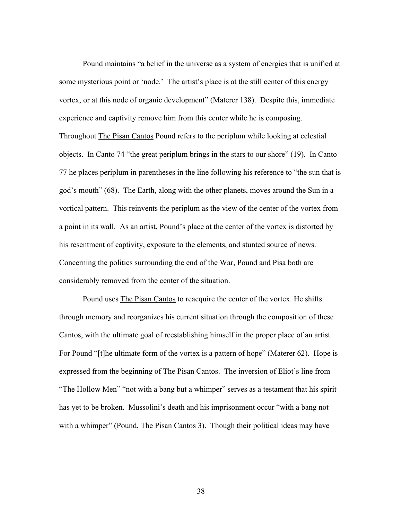Pound maintains "a belief in the universe as a system of energies that is unified at some mysterious point or 'node.' The artist's place is at the still center of this energy vortex, or at this node of organic development" (Materer 138). Despite this, immediate experience and captivity remove him from this center while he is composing. Throughout The Pisan Cantos Pound refers to the periplum while looking at celestial objects. In Canto 74 "the great periplum brings in the stars to our shore" (19). In Canto 77 he places periplum in parentheses in the line following his reference to "the sun that is god's mouth" (68). The Earth, along with the other planets, moves around the Sun in a vortical pattern. This reinvents the periplum as the view of the center of the vortex from a point in its wall. As an artist, Pound's place at the center of the vortex is distorted by his resentment of captivity, exposure to the elements, and stunted source of news. Concerning the politics surrounding the end of the War, Pound and Pisa both are considerably removed from the center of the situation.

Pound uses The Pisan Cantos to reacquire the center of the vortex. He shifts through memory and reorganizes his current situation through the composition of these Cantos, with the ultimate goal of reestablishing himself in the proper place of an artist. For Pound "[t]he ultimate form of the vortex is a pattern of hope" (Materer 62). Hope is expressed from the beginning of The Pisan Cantos. The inversion of Eliot's line from "The Hollow Men" "not with a bang but a whimper" serves as a testament that his spirit has yet to be broken. Mussolini's death and his imprisonment occur "with a bang not with a whimper" (Pound, The Pisan Cantos 3). Though their political ideas may have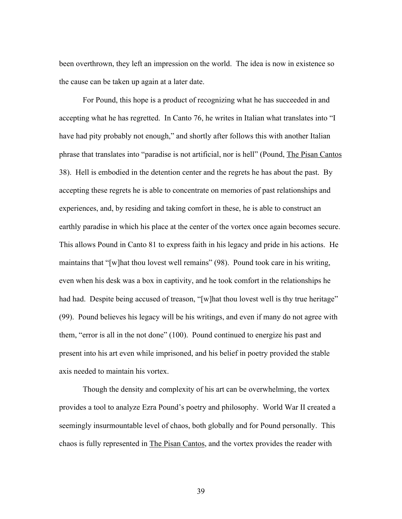been overthrown, they left an impression on the world. The idea is now in existence so the cause can be taken up again at a later date.

For Pound, this hope is a product of recognizing what he has succeeded in and accepting what he has regretted. In Canto 76, he writes in Italian what translates into "I have had pity probably not enough," and shortly after follows this with another Italian phrase that translates into "paradise is not artificial, nor is hell" (Pound, The Pisan Cantos 38). Hell is embodied in the detention center and the regrets he has about the past. By accepting these regrets he is able to concentrate on memories of past relationships and experiences, and, by residing and taking comfort in these, he is able to construct an earthly paradise in which his place at the center of the vortex once again becomes secure. This allows Pound in Canto 81 to express faith in his legacy and pride in his actions. He maintains that "[w]hat thou lovest well remains" (98). Pound took care in his writing, even when his desk was a box in captivity, and he took comfort in the relationships he had had. Despite being accused of treason, "[w]hat thou lovest well is thy true heritage" (99). Pound believes his legacy will be his writings, and even if many do not agree with them, "error is all in the not done" (100). Pound continued to energize his past and present into his art even while imprisoned, and his belief in poetry provided the stable axis needed to maintain his vortex.

Though the density and complexity of his art can be overwhelming, the vortex provides a tool to analyze Ezra Pound's poetry and philosophy. World War II created a seemingly insurmountable level of chaos, both globally and for Pound personally. This chaos is fully represented in The Pisan Cantos, and the vortex provides the reader with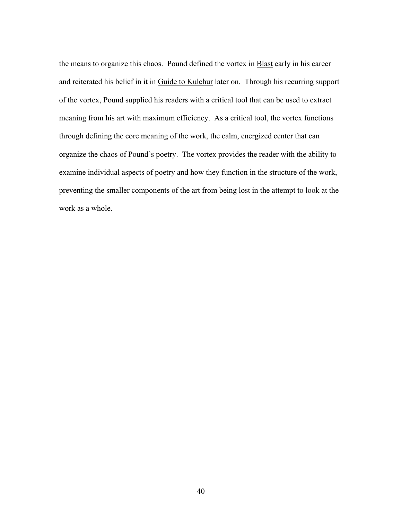the means to organize this chaos. Pound defined the vortex in Blast early in his career and reiterated his belief in it in Guide to Kulchur later on. Through his recurring support of the vortex, Pound supplied his readers with a critical tool that can be used to extract meaning from his art with maximum efficiency. As a critical tool, the vortex functions through defining the core meaning of the work, the calm, energized center that can organize the chaos of Pound's poetry. The vortex provides the reader with the ability to examine individual aspects of poetry and how they function in the structure of the work, preventing the smaller components of the art from being lost in the attempt to look at the work as a whole.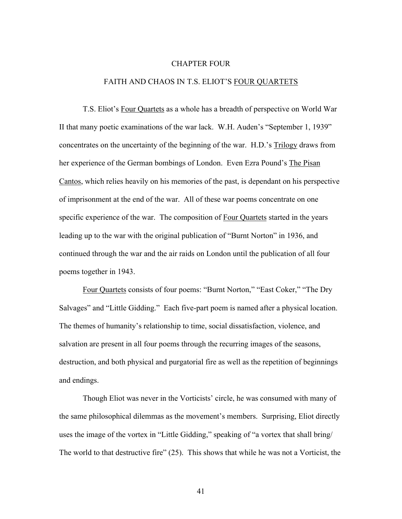#### CHAPTER FOUR

### FAITH AND CHAOS IN T.S. ELIOT'S FOUR QUARTETS

T.S. Eliot's Four Quartets as a whole has a breadth of perspective on World War II that many poetic examinations of the war lack. W.H. Auden's "September 1, 1939" concentrates on the uncertainty of the beginning of the war. H.D.'s Trilogy draws from her experience of the German bombings of London. Even Ezra Pound's The Pisan Cantos, which relies heavily on his memories of the past, is dependant on his perspective of imprisonment at the end of the war. All of these war poems concentrate on one specific experience of the war. The composition of Four Quartets started in the years leading up to the war with the original publication of "Burnt Norton" in 1936, and continued through the war and the air raids on London until the publication of all four poems together in 1943.

Four Quartets consists of four poems: "Burnt Norton," "East Coker," "The Dry Salvages" and "Little Gidding." Each five-part poem is named after a physical location. The themes of humanity's relationship to time, social dissatisfaction, violence, and salvation are present in all four poems through the recurring images of the seasons, destruction, and both physical and purgatorial fire as well as the repetition of beginnings and endings.

Though Eliot was never in the Vorticists' circle, he was consumed with many of the same philosophical dilemmas as the movement's members. Surprising, Eliot directly uses the image of the vortex in "Little Gidding," speaking of "a vortex that shall bring/ The world to that destructive fire" (25). This shows that while he was not a Vorticist, the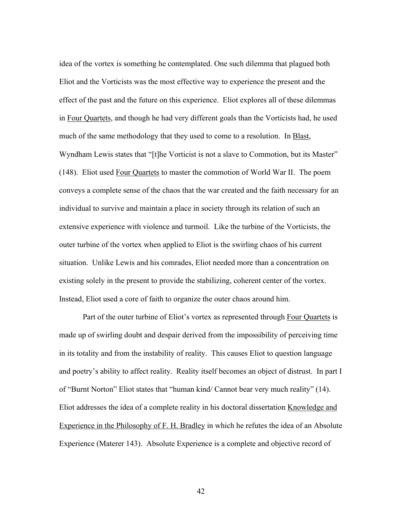idea of the vortex is something he contemplated. One such dilemma that plagued both Eliot and the Vorticists was the most effective way to experience the present and the effect of the past and the future on this experience. Eliot explores all of these dilemmas in Four Quartets, and though he had very different goals than the Vorticists had, he used much of the same methodology that they used to come to a resolution. In Blast, Wyndham Lewis states that "[t]he Vorticist is not a slave to Commotion, but its Master" (148). Eliot used Four Quartets to master the commotion of World War II. The poem conveys a complete sense of the chaos that the war created and the faith necessary for an individual to survive and maintain a place in society through its relation of such an extensive experience with violence and turmoil. Like the turbine of the Vorticists, the outer turbine of the vortex when applied to Eliot is the swirling chaos of his current situation. Unlike Lewis and his comrades, Eliot needed more than a concentration on existing solely in the present to provide the stabilizing, coherent center of the vortex. Instead, Eliot used a core of faith to organize the outer chaos around him.

Part of the outer turbine of Eliot's vortex as represented through Four Quartets is made up of swirling doubt and despair derived from the impossibility of perceiving time in its totality and from the instability of reality. This causes Eliot to question language and poetry's ability to affect reality. Reality itself becomes an object of distrust. In part I of "Burnt Norton" Eliot states that "human kind/ Cannot bear very much reality" (14). Eliot addresses the idea of a complete reality in his doctoral dissertation Knowledge and Experience in the Philosophy of F. H. Bradley in which he refutes the idea of an Absolute Experience (Materer 143). Absolute Experience is a complete and objective record of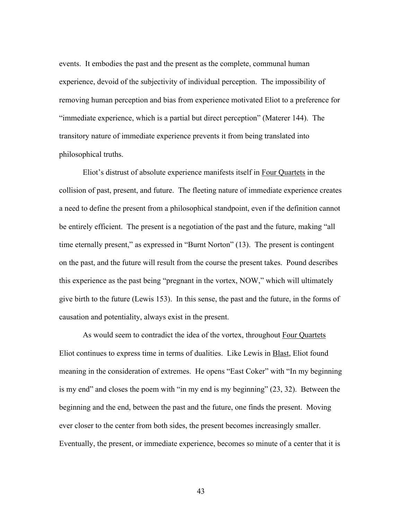events. It embodies the past and the present as the complete, communal human experience, devoid of the subjectivity of individual perception. The impossibility of removing human perception and bias from experience motivated Eliot to a preference for "immediate experience, which is a partial but direct perception" (Materer 144). The transitory nature of immediate experience prevents it from being translated into philosophical truths.

Eliot's distrust of absolute experience manifests itself in Four Quartets in the collision of past, present, and future. The fleeting nature of immediate experience creates a need to define the present from a philosophical standpoint, even if the definition cannot be entirely efficient. The present is a negotiation of the past and the future, making "all time eternally present," as expressed in "Burnt Norton" (13). The present is contingent on the past, and the future will result from the course the present takes. Pound describes this experience as the past being "pregnant in the vortex, NOW," which will ultimately give birth to the future (Lewis 153). In this sense, the past and the future, in the forms of causation and potentiality, always exist in the present.

As would seem to contradict the idea of the vortex, throughout Four Quartets Eliot continues to express time in terms of dualities. Like Lewis in Blast, Eliot found meaning in the consideration of extremes. He opens "East Coker" with "In my beginning is my end" and closes the poem with "in my end is my beginning" (23, 32). Between the beginning and the end, between the past and the future, one finds the present. Moving ever closer to the center from both sides, the present becomes increasingly smaller. Eventually, the present, or immediate experience, becomes so minute of a center that it is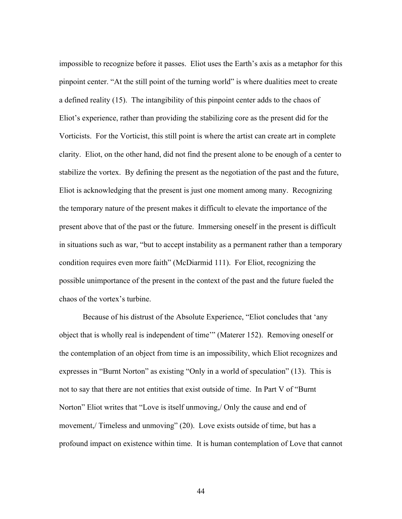impossible to recognize before it passes. Eliot uses the Earth's axis as a metaphor for this pinpoint center. "At the still point of the turning world" is where dualities meet to create a defined reality (15). The intangibility of this pinpoint center adds to the chaos of Eliot's experience, rather than providing the stabilizing core as the present did for the Vorticists. For the Vorticist, this still point is where the artist can create art in complete clarity. Eliot, on the other hand, did not find the present alone to be enough of a center to stabilize the vortex. By defining the present as the negotiation of the past and the future, Eliot is acknowledging that the present is just one moment among many. Recognizing the temporary nature of the present makes it difficult to elevate the importance of the present above that of the past or the future. Immersing oneself in the present is difficult in situations such as war, "but to accept instability as a permanent rather than a temporary condition requires even more faith" (McDiarmid 111). For Eliot, recognizing the possible unimportance of the present in the context of the past and the future fueled the chaos of the vortex's turbine.

Because of his distrust of the Absolute Experience, "Eliot concludes that 'any object that is wholly real is independent of time'" (Materer 152). Removing oneself or the contemplation of an object from time is an impossibility, which Eliot recognizes and expresses in "Burnt Norton" as existing "Only in a world of speculation" (13). This is not to say that there are not entities that exist outside of time. In Part V of "Burnt Norton" Eliot writes that "Love is itself unmoving,/ Only the cause and end of movement,/ Timeless and unmoving" (20). Love exists outside of time, but has a profound impact on existence within time. It is human contemplation of Love that cannot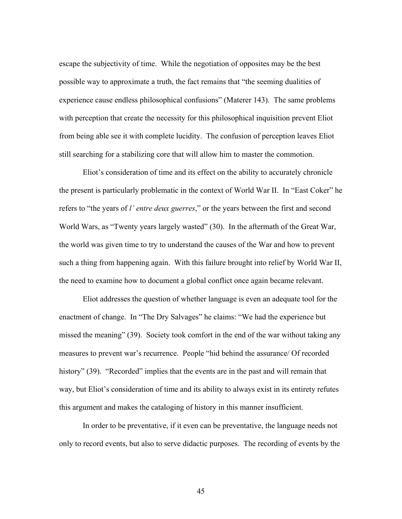escape the subjectivity of time. While the negotiation of opposites may be the best possible way to approximate a truth, the fact remains that "the seeming dualities of experience cause endless philosophical confusions" (Materer 143). The same problems with perception that create the necessity for this philosophical inquisition prevent Eliot from being able see it with complete lucidity. The confusion of perception leaves Eliot still searching for a stabilizing core that will allow him to master the commotion.

Eliot's consideration of time and its effect on the ability to accurately chronicle the present is particularly problematic in the context of World War II. In "East Coker" he refers to "the years of *l' entre deux guerres*," or the years between the first and second World Wars, as "Twenty years largely wasted" (30). In the aftermath of the Great War, the world was given time to try to understand the causes of the War and how to prevent such a thing from happening again. With this failure brought into relief by World War II, the need to examine how to document a global conflict once again became relevant.

Eliot addresses the question of whether language is even an adequate tool for the enactment of change. In "The Dry Salvages" he claims: "We had the experience but missed the meaning" (39). Society took comfort in the end of the war without taking any measures to prevent war's recurrence. People "hid behind the assurance/ Of recorded history" (39). "Recorded" implies that the events are in the past and will remain that way, but Eliot's consideration of time and its ability to always exist in its entirety refutes this argument and makes the cataloging of history in this manner insufficient.

In order to be preventative, if it even can be preventative, the language needs not only to record events, but also to serve didactic purposes. The recording of events by the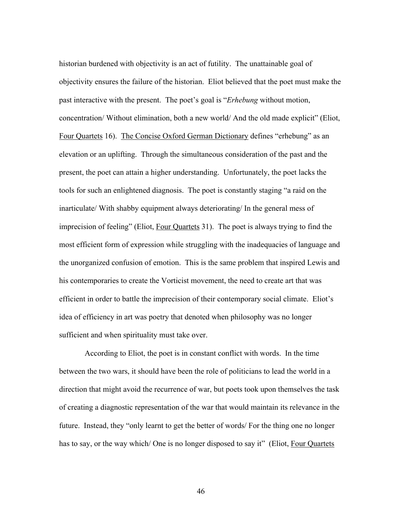historian burdened with objectivity is an act of futility. The unattainable goal of objectivity ensures the failure of the historian. Eliot believed that the poet must make the past interactive with the present. The poet's goal is "*Erhebung* without motion, concentration/ Without elimination, both a new world/ And the old made explicit" (Eliot, Four Quartets 16). The Concise Oxford German Dictionary defines "erhebung" as an elevation or an uplifting. Through the simultaneous consideration of the past and the present, the poet can attain a higher understanding. Unfortunately, the poet lacks the tools for such an enlightened diagnosis. The poet is constantly staging "a raid on the inarticulate/ With shabby equipment always deteriorating/ In the general mess of imprecision of feeling" (Eliot, Four Quartets 31). The poet is always trying to find the most efficient form of expression while struggling with the inadequacies of language and the unorganized confusion of emotion. This is the same problem that inspired Lewis and his contemporaries to create the Vorticist movement, the need to create art that was efficient in order to battle the imprecision of their contemporary social climate. Eliot's idea of efficiency in art was poetry that denoted when philosophy was no longer sufficient and when spirituality must take over.

 According to Eliot, the poet is in constant conflict with words. In the time between the two wars, it should have been the role of politicians to lead the world in a direction that might avoid the recurrence of war, but poets took upon themselves the task of creating a diagnostic representation of the war that would maintain its relevance in the future. Instead, they "only learnt to get the better of words/ For the thing one no longer has to say, or the way which/One is no longer disposed to say it" (Eliot, Four Quartets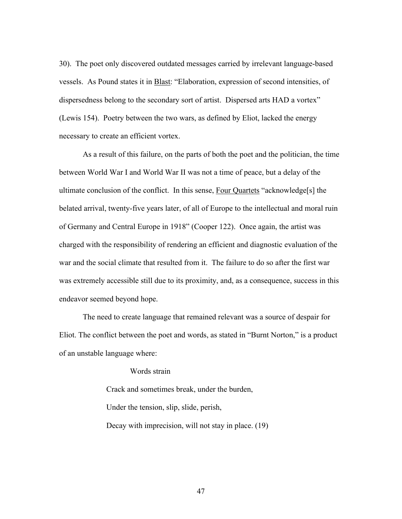30). The poet only discovered outdated messages carried by irrelevant language-based vessels. As Pound states it in Blast: "Elaboration, expression of second intensities, of dispersedness belong to the secondary sort of artist. Dispersed arts HAD a vortex" (Lewis 154). Poetry between the two wars, as defined by Eliot, lacked the energy necessary to create an efficient vortex.

As a result of this failure, on the parts of both the poet and the politician, the time between World War I and World War II was not a time of peace, but a delay of the ultimate conclusion of the conflict. In this sense, Four Quartets "acknowledge[s] the belated arrival, twenty-five years later, of all of Europe to the intellectual and moral ruin of Germany and Central Europe in 1918" (Cooper 122). Once again, the artist was charged with the responsibility of rendering an efficient and diagnostic evaluation of the war and the social climate that resulted from it. The failure to do so after the first war was extremely accessible still due to its proximity, and, as a consequence, success in this endeavor seemed beyond hope.

The need to create language that remained relevant was a source of despair for Eliot. The conflict between the poet and words, as stated in "Burnt Norton," is a product of an unstable language where:

## Words strain

Crack and sometimes break, under the burden, Under the tension, slip, slide, perish, Decay with imprecision, will not stay in place. (19)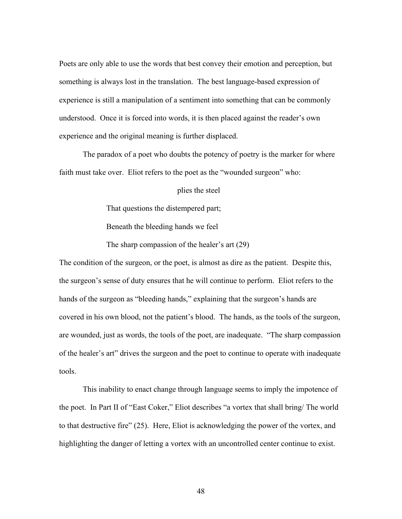Poets are only able to use the words that best convey their emotion and perception, but something is always lost in the translation. The best language-based expression of experience is still a manipulation of a sentiment into something that can be commonly understood. Once it is forced into words, it is then placed against the reader's own experience and the original meaning is further displaced.

The paradox of a poet who doubts the potency of poetry is the marker for where faith must take over. Eliot refers to the poet as the "wounded surgeon" who:

### plies the steel

That questions the distempered part;

Beneath the bleeding hands we feel

The sharp compassion of the healer's art (29)

The condition of the surgeon, or the poet, is almost as dire as the patient. Despite this, the surgeon's sense of duty ensures that he will continue to perform. Eliot refers to the hands of the surgeon as "bleeding hands," explaining that the surgeon's hands are covered in his own blood, not the patient's blood. The hands, as the tools of the surgeon, are wounded, just as words, the tools of the poet, are inadequate. "The sharp compassion of the healer's art" drives the surgeon and the poet to continue to operate with inadequate tools.

This inability to enact change through language seems to imply the impotence of the poet. In Part II of "East Coker," Eliot describes "a vortex that shall bring/ The world to that destructive fire" (25). Here, Eliot is acknowledging the power of the vortex, and highlighting the danger of letting a vortex with an uncontrolled center continue to exist.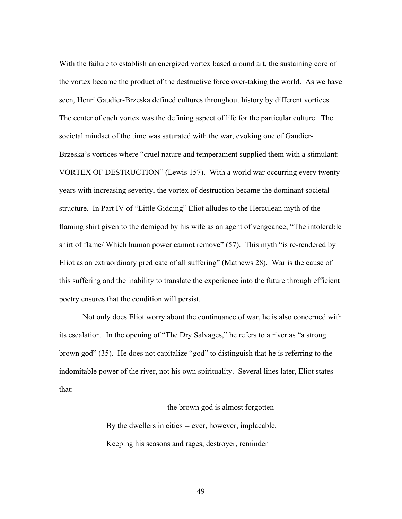With the failure to establish an energized vortex based around art, the sustaining core of the vortex became the product of the destructive force over-taking the world. As we have seen, Henri Gaudier-Brzeska defined cultures throughout history by different vortices. The center of each vortex was the defining aspect of life for the particular culture. The societal mindset of the time was saturated with the war, evoking one of Gaudier-Brzeska's vortices where "cruel nature and temperament supplied them with a stimulant: VORTEX OF DESTRUCTION" (Lewis 157). With a world war occurring every twenty years with increasing severity, the vortex of destruction became the dominant societal structure. In Part IV of "Little Gidding" Eliot alludes to the Herculean myth of the flaming shirt given to the demigod by his wife as an agent of vengeance; "The intolerable shirt of flame/ Which human power cannot remove" (57). This myth "is re-rendered by Eliot as an extraordinary predicate of all suffering" (Mathews 28). War is the cause of this suffering and the inability to translate the experience into the future through efficient poetry ensures that the condition will persist.

Not only does Eliot worry about the continuance of war, he is also concerned with its escalation. In the opening of "The Dry Salvages," he refers to a river as "a strong brown god" (35). He does not capitalize "god" to distinguish that he is referring to the indomitable power of the river, not his own spirituality. Several lines later, Eliot states that:

### the brown god is almost forgotten

By the dwellers in cities -- ever, however, implacable, Keeping his seasons and rages, destroyer, reminder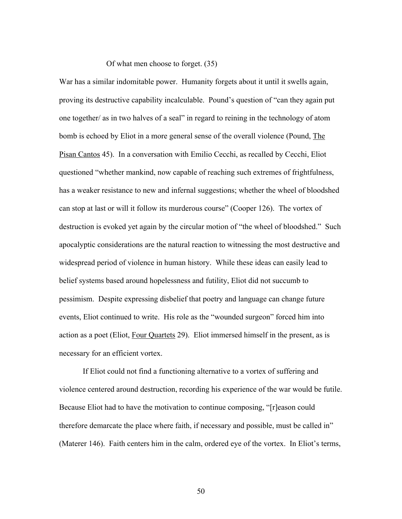Of what men choose to forget. (35)

War has a similar indomitable power. Humanity forgets about it until it swells again, proving its destructive capability incalculable. Pound's question of "can they again put one together/ as in two halves of a seal" in regard to reining in the technology of atom bomb is echoed by Eliot in a more general sense of the overall violence (Pound, The Pisan Cantos 45). In a conversation with Emilio Cecchi, as recalled by Cecchi, Eliot questioned "whether mankind, now capable of reaching such extremes of frightfulness, has a weaker resistance to new and infernal suggestions; whether the wheel of bloodshed can stop at last or will it follow its murderous course" (Cooper 126). The vortex of destruction is evoked yet again by the circular motion of "the wheel of bloodshed." Such apocalyptic considerations are the natural reaction to witnessing the most destructive and widespread period of violence in human history. While these ideas can easily lead to belief systems based around hopelessness and futility, Eliot did not succumb to pessimism. Despite expressing disbelief that poetry and language can change future events, Eliot continued to write. His role as the "wounded surgeon" forced him into action as a poet (Eliot, Four Quartets 29). Eliot immersed himself in the present, as is necessary for an efficient vortex.

If Eliot could not find a functioning alternative to a vortex of suffering and violence centered around destruction, recording his experience of the war would be futile. Because Eliot had to have the motivation to continue composing, "[r]eason could therefore demarcate the place where faith, if necessary and possible, must be called in" (Materer 146). Faith centers him in the calm, ordered eye of the vortex. In Eliot's terms,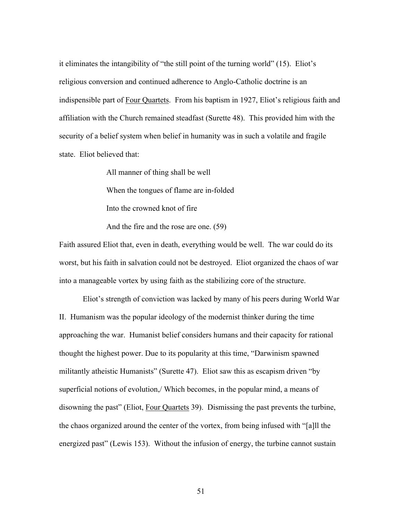it eliminates the intangibility of "the still point of the turning world" (15). Eliot's religious conversion and continued adherence to Anglo-Catholic doctrine is an indispensible part of Four Quartets. From his baptism in 1927, Eliot's religious faith and affiliation with the Church remained steadfast (Surette 48). This provided him with the security of a belief system when belief in humanity was in such a volatile and fragile state. Eliot believed that:

All manner of thing shall be well

When the tongues of flame are in-folded

Into the crowned knot of fire

And the fire and the rose are one. (59)

Faith assured Eliot that, even in death, everything would be well. The war could do its worst, but his faith in salvation could not be destroyed. Eliot organized the chaos of war into a manageable vortex by using faith as the stabilizing core of the structure.

Eliot's strength of conviction was lacked by many of his peers during World War II. Humanism was the popular ideology of the modernist thinker during the time approaching the war. Humanist belief considers humans and their capacity for rational thought the highest power. Due to its popularity at this time, "Darwinism spawned militantly atheistic Humanists" (Surette 47). Eliot saw this as escapism driven "by superficial notions of evolution,/ Which becomes, in the popular mind, a means of disowning the past" (Eliot, Four Quartets 39). Dismissing the past prevents the turbine, the chaos organized around the center of the vortex, from being infused with "[a]ll the energized past" (Lewis 153). Without the infusion of energy, the turbine cannot sustain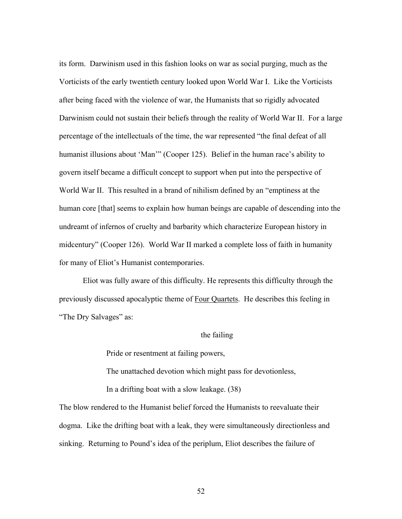its form. Darwinism used in this fashion looks on war as social purging, much as the Vorticists of the early twentieth century looked upon World War I. Like the Vorticists after being faced with the violence of war, the Humanists that so rigidly advocated Darwinism could not sustain their beliefs through the reality of World War II. For a large percentage of the intellectuals of the time, the war represented "the final defeat of all humanist illusions about 'Man'" (Cooper 125). Belief in the human race's ability to govern itself became a difficult concept to support when put into the perspective of World War II. This resulted in a brand of nihilism defined by an "emptiness at the human core [that] seems to explain how human beings are capable of descending into the undreamt of infernos of cruelty and barbarity which characterize European history in midcentury" (Cooper 126). World War II marked a complete loss of faith in humanity for many of Eliot's Humanist contemporaries.

Eliot was fully aware of this difficulty. He represents this difficulty through the previously discussed apocalyptic theme of Four Quartets. He describes this feeling in "The Dry Salvages" as:

### the failing

Pride or resentment at failing powers,

The unattached devotion which might pass for devotionless,

In a drifting boat with a slow leakage. (38)

The blow rendered to the Humanist belief forced the Humanists to reevaluate their dogma. Like the drifting boat with a leak, they were simultaneously directionless and sinking. Returning to Pound's idea of the periplum, Eliot describes the failure of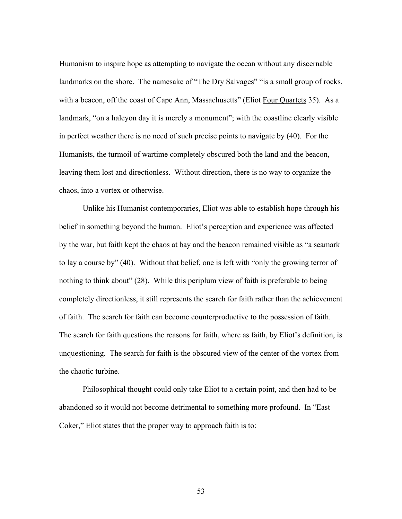Humanism to inspire hope as attempting to navigate the ocean without any discernable landmarks on the shore. The namesake of "The Dry Salvages" "is a small group of rocks, with a beacon, off the coast of Cape Ann, Massachusetts" (Eliot Four Quartets 35). As a landmark, "on a halcyon day it is merely a monument"; with the coastline clearly visible in perfect weather there is no need of such precise points to navigate by (40). For the Humanists, the turmoil of wartime completely obscured both the land and the beacon, leaving them lost and directionless. Without direction, there is no way to organize the chaos, into a vortex or otherwise.

Unlike his Humanist contemporaries, Eliot was able to establish hope through his belief in something beyond the human. Eliot's perception and experience was affected by the war, but faith kept the chaos at bay and the beacon remained visible as "a seamark to lay a course by" (40). Without that belief, one is left with "only the growing terror of nothing to think about" (28). While this periplum view of faith is preferable to being completely directionless, it still represents the search for faith rather than the achievement of faith. The search for faith can become counterproductive to the possession of faith. The search for faith questions the reasons for faith, where as faith, by Eliot's definition, is unquestioning. The search for faith is the obscured view of the center of the vortex from the chaotic turbine.

Philosophical thought could only take Eliot to a certain point, and then had to be abandoned so it would not become detrimental to something more profound. In "East Coker," Eliot states that the proper way to approach faith is to: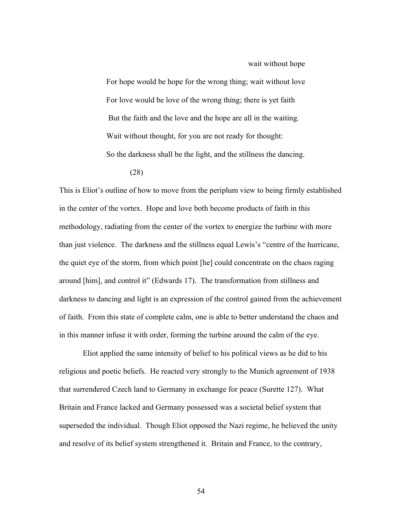wait without hope

For hope would be hope for the wrong thing; wait without love For love would be love of the wrong thing; there is yet faith But the faith and the love and the hope are all in the waiting. Wait without thought, for you are not ready for thought: So the darkness shall be the light, and the stillness the dancing. (28)

This is Eliot's outline of how to move from the periplum view to being firmly established in the center of the vortex. Hope and love both become products of faith in this methodology, radiating from the center of the vortex to energize the turbine with more than just violence. The darkness and the stillness equal Lewis's "centre of the hurricane, the quiet eye of the storm, from which point [he] could concentrate on the chaos raging around [him], and control it" (Edwards 17). The transformation from stillness and darkness to dancing and light is an expression of the control gained from the achievement of faith. From this state of complete calm, one is able to better understand the chaos and in this manner infuse it with order, forming the turbine around the calm of the eye.

Eliot applied the same intensity of belief to his political views as he did to his religious and poetic beliefs. He reacted very strongly to the Munich agreement of 1938 that surrendered Czech land to Germany in exchange for peace (Surette 127). What Britain and France lacked and Germany possessed was a societal belief system that superseded the individual. Though Eliot opposed the Nazi regime, he believed the unity and resolve of its belief system strengthened it. Britain and France, to the contrary,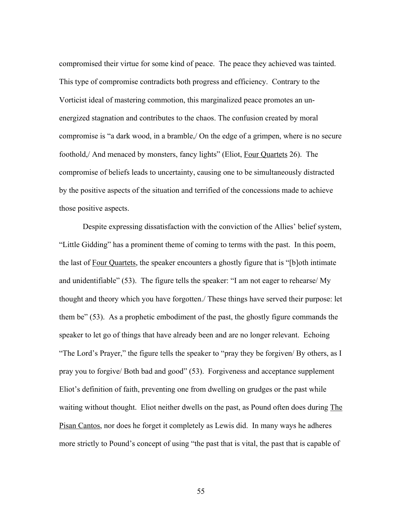compromised their virtue for some kind of peace. The peace they achieved was tainted. This type of compromise contradicts both progress and efficiency. Contrary to the Vorticist ideal of mastering commotion, this marginalized peace promotes an unenergized stagnation and contributes to the chaos. The confusion created by moral compromise is "a dark wood, in a bramble,/ On the edge of a grimpen, where is no secure foothold,/ And menaced by monsters, fancy lights" (Eliot, Four Quartets 26). The compromise of beliefs leads to uncertainty, causing one to be simultaneously distracted by the positive aspects of the situation and terrified of the concessions made to achieve those positive aspects.

Despite expressing dissatisfaction with the conviction of the Allies' belief system, "Little Gidding" has a prominent theme of coming to terms with the past. In this poem, the last of Four Quartets, the speaker encounters a ghostly figure that is "[b]oth intimate and unidentifiable" (53). The figure tells the speaker: "I am not eager to rehearse/ My thought and theory which you have forgotten./ These things have served their purpose: let them be" (53). As a prophetic embodiment of the past, the ghostly figure commands the speaker to let go of things that have already been and are no longer relevant. Echoing "The Lord's Prayer," the figure tells the speaker to "pray they be forgiven/ By others, as I pray you to forgive/ Both bad and good" (53). Forgiveness and acceptance supplement Eliot's definition of faith, preventing one from dwelling on grudges or the past while waiting without thought. Eliot neither dwells on the past, as Pound often does during The Pisan Cantos, nor does he forget it completely as Lewis did. In many ways he adheres more strictly to Pound's concept of using "the past that is vital, the past that is capable of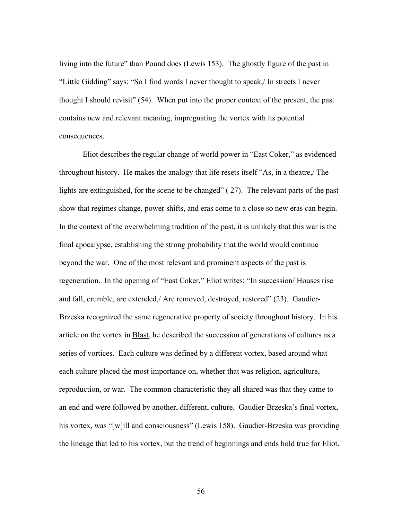living into the future" than Pound does (Lewis 153). The ghostly figure of the past in "Little Gidding" says: "So I find words I never thought to speak,/ In streets I never thought I should revisit" (54). When put into the proper context of the present, the past contains new and relevant meaning, impregnating the vortex with its potential consequences.

Eliot describes the regular change of world power in "East Coker," as evidenced throughout history. He makes the analogy that life resets itself "As, in a theatre,/ The lights are extinguished, for the scene to be changed" ( 27). The relevant parts of the past show that regimes change, power shifts, and eras come to a close so new eras can begin. In the context of the overwhelming tradition of the past, it is unlikely that this war is the final apocalypse, establishing the strong probability that the world would continue beyond the war. One of the most relevant and prominent aspects of the past is regeneration. In the opening of "East Coker," Eliot writes: "In succession/ Houses rise and fall, crumble, are extended,/ Are removed, destroyed, restored" (23). Gaudier-Brzeska recognized the same regenerative property of society throughout history. In his article on the vortex in **Blast**, he described the succession of generations of cultures as a series of vortices. Each culture was defined by a different vortex, based around what each culture placed the most importance on, whether that was religion, agriculture, reproduction, or war. The common characteristic they all shared was that they came to an end and were followed by another, different, culture. Gaudier-Brzeska's final vortex, his vortex, was "[w]ill and consciousness" (Lewis 158). Gaudier-Brzeska was providing the lineage that led to his vortex, but the trend of beginnings and ends hold true for Eliot.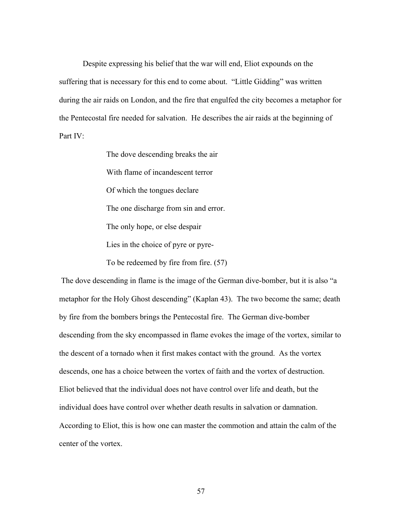Despite expressing his belief that the war will end, Eliot expounds on the suffering that is necessary for this end to come about. "Little Gidding" was written during the air raids on London, and the fire that engulfed the city becomes a metaphor for the Pentecostal fire needed for salvation. He describes the air raids at the beginning of Part IV:

> The dove descending breaks the air With flame of incandescent terror Of which the tongues declare The one discharge from sin and error. The only hope, or else despair Lies in the choice of pyre or pyre-To be redeemed by fire from fire. (57)

 The dove descending in flame is the image of the German dive-bomber, but it is also "a metaphor for the Holy Ghost descending" (Kaplan 43). The two become the same; death by fire from the bombers brings the Pentecostal fire. The German dive-bomber descending from the sky encompassed in flame evokes the image of the vortex, similar to the descent of a tornado when it first makes contact with the ground. As the vortex descends, one has a choice between the vortex of faith and the vortex of destruction. Eliot believed that the individual does not have control over life and death, but the individual does have control over whether death results in salvation or damnation. According to Eliot, this is how one can master the commotion and attain the calm of the center of the vortex.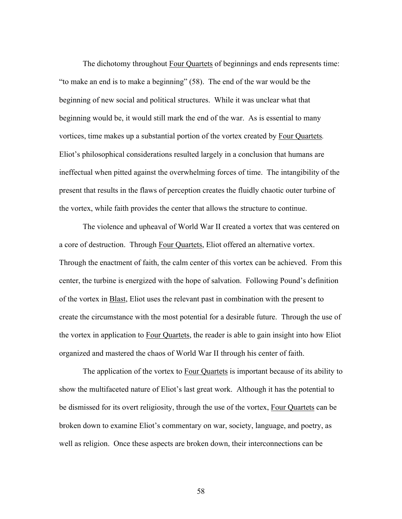The dichotomy throughout Four Quartets of beginnings and ends represents time: "to make an end is to make a beginning" (58). The end of the war would be the beginning of new social and political structures. While it was unclear what that beginning would be, it would still mark the end of the war. As is essential to many vortices, time makes up a substantial portion of the vortex created by Four Quartets*.*  Eliot's philosophical considerations resulted largely in a conclusion that humans are ineffectual when pitted against the overwhelming forces of time. The intangibility of the present that results in the flaws of perception creates the fluidly chaotic outer turbine of the vortex, while faith provides the center that allows the structure to continue.

The violence and upheaval of World War II created a vortex that was centered on a core of destruction. Through Four Quartets, Eliot offered an alternative vortex. Through the enactment of faith, the calm center of this vortex can be achieved. From this center, the turbine is energized with the hope of salvation. Following Pound's definition of the vortex in Blast, Eliot uses the relevant past in combination with the present to create the circumstance with the most potential for a desirable future. Through the use of the vortex in application to Four Quartets, the reader is able to gain insight into how Eliot organized and mastered the chaos of World War II through his center of faith.

The application of the vortex to Four Quartets is important because of its ability to show the multifaceted nature of Eliot's last great work. Although it has the potential to be dismissed for its overt religiosity, through the use of the vortex, Four Quartets can be broken down to examine Eliot's commentary on war, society, language, and poetry, as well as religion. Once these aspects are broken down, their interconnections can be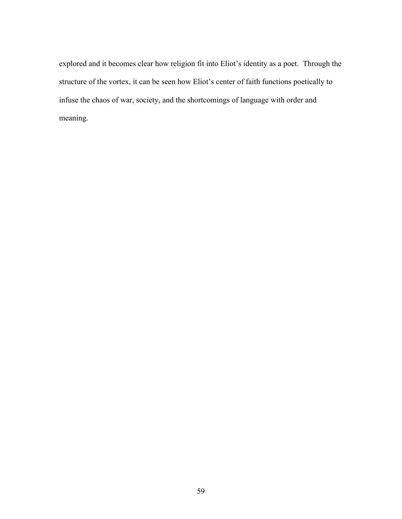explored and it becomes clear how religion fit into Eliot's identity as a poet. Through the structure of the vortex, it can be seen how Eliot's center of faith functions poetically to infuse the chaos of war, society, and the shortcomings of language with order and meaning.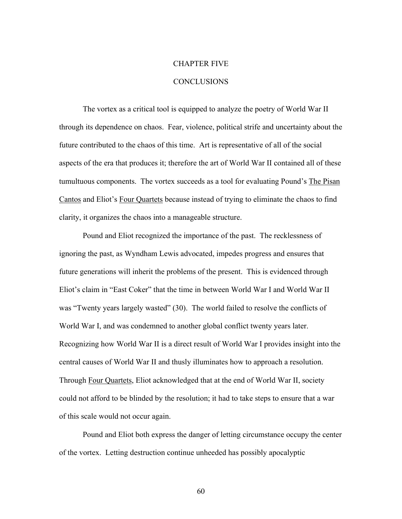# CHAPTER FIVE

## **CONCLUSIONS**

The vortex as a critical tool is equipped to analyze the poetry of World War II through its dependence on chaos. Fear, violence, political strife and uncertainty about the future contributed to the chaos of this time. Art is representative of all of the social aspects of the era that produces it; therefore the art of World War II contained all of these tumultuous components. The vortex succeeds as a tool for evaluating Pound's The Pisan Cantos and Eliot's Four Quartets because instead of trying to eliminate the chaos to find clarity, it organizes the chaos into a manageable structure.

Pound and Eliot recognized the importance of the past. The recklessness of ignoring the past, as Wyndham Lewis advocated, impedes progress and ensures that future generations will inherit the problems of the present. This is evidenced through Eliot's claim in "East Coker" that the time in between World War I and World War II was "Twenty years largely wasted" (30). The world failed to resolve the conflicts of World War I, and was condemned to another global conflict twenty years later. Recognizing how World War II is a direct result of World War I provides insight into the central causes of World War II and thusly illuminates how to approach a resolution. Through Four Quartets, Eliot acknowledged that at the end of World War II, society could not afford to be blinded by the resolution; it had to take steps to ensure that a war of this scale would not occur again.

Pound and Eliot both express the danger of letting circumstance occupy the center of the vortex. Letting destruction continue unheeded has possibly apocalyptic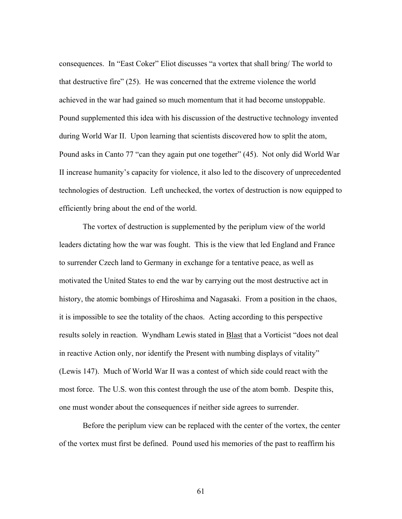consequences. In "East Coker" Eliot discusses "a vortex that shall bring/ The world to that destructive fire" (25). He was concerned that the extreme violence the world achieved in the war had gained so much momentum that it had become unstoppable. Pound supplemented this idea with his discussion of the destructive technology invented during World War II. Upon learning that scientists discovered how to split the atom, Pound asks in Canto 77 "can they again put one together" (45). Not only did World War II increase humanity's capacity for violence, it also led to the discovery of unprecedented technologies of destruction. Left unchecked, the vortex of destruction is now equipped to efficiently bring about the end of the world.

The vortex of destruction is supplemented by the periplum view of the world leaders dictating how the war was fought. This is the view that led England and France to surrender Czech land to Germany in exchange for a tentative peace, as well as motivated the United States to end the war by carrying out the most destructive act in history, the atomic bombings of Hiroshima and Nagasaki. From a position in the chaos, it is impossible to see the totality of the chaos. Acting according to this perspective results solely in reaction. Wyndham Lewis stated in **Blast** that a Vorticist "does not deal in reactive Action only, nor identify the Present with numbing displays of vitality" (Lewis 147). Much of World War II was a contest of which side could react with the most force. The U.S. won this contest through the use of the atom bomb. Despite this, one must wonder about the consequences if neither side agrees to surrender.

Before the periplum view can be replaced with the center of the vortex, the center of the vortex must first be defined. Pound used his memories of the past to reaffirm his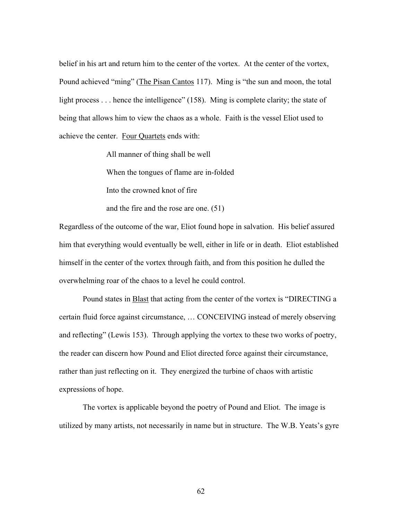belief in his art and return him to the center of the vortex. At the center of the vortex, Pound achieved "ming" (The Pisan Cantos 117). Ming is "the sun and moon, the total light process . . . hence the intelligence" (158). Ming is complete clarity; the state of being that allows him to view the chaos as a whole. Faith is the vessel Eliot used to achieve the center. Four Quartets ends with:

> All manner of thing shall be well When the tongues of flame are in-folded Into the crowned knot of fire

and the fire and the rose are one. (51)

Regardless of the outcome of the war, Eliot found hope in salvation. His belief assured him that everything would eventually be well, either in life or in death. Eliot established himself in the center of the vortex through faith, and from this position he dulled the overwhelming roar of the chaos to a level he could control.

Pound states in Blast that acting from the center of the vortex is "DIRECTING a certain fluid force against circumstance, … CONCEIVING instead of merely observing and reflecting" (Lewis 153). Through applying the vortex to these two works of poetry, the reader can discern how Pound and Eliot directed force against their circumstance, rather than just reflecting on it. They energized the turbine of chaos with artistic expressions of hope.

The vortex is applicable beyond the poetry of Pound and Eliot. The image is utilized by many artists, not necessarily in name but in structure. The W.B. Yeats's gyre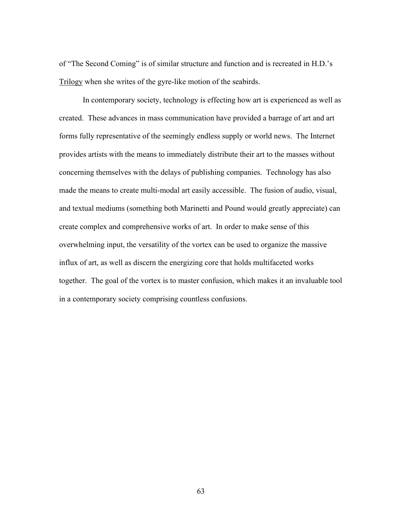of "The Second Coming" is of similar structure and function and is recreated in H.D.'s Trilogy when she writes of the gyre-like motion of the seabirds.

In contemporary society, technology is effecting how art is experienced as well as created. These advances in mass communication have provided a barrage of art and art forms fully representative of the seemingly endless supply or world news. The Internet provides artists with the means to immediately distribute their art to the masses without concerning themselves with the delays of publishing companies. Technology has also made the means to create multi-modal art easily accessible. The fusion of audio, visual, and textual mediums (something both Marinetti and Pound would greatly appreciate) can create complex and comprehensive works of art. In order to make sense of this overwhelming input, the versatility of the vortex can be used to organize the massive influx of art, as well as discern the energizing core that holds multifaceted works together. The goal of the vortex is to master confusion, which makes it an invaluable tool in a contemporary society comprising countless confusions.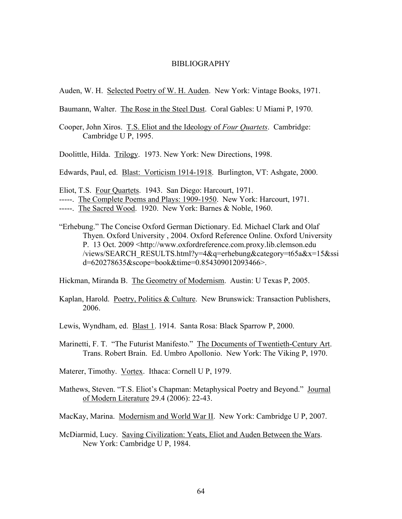#### BIBLIOGRAPHY

Auden, W. H. Selected Poetry of W. H. Auden. New York: Vintage Books, 1971.

Baumann, Walter. The Rose in the Steel Dust. Coral Gables: U Miami P, 1970.

Cooper, John Xiros. T.S. Eliot and the Ideology of *Four Quartets*. Cambridge: Cambridge U P, 1995.

Doolittle, Hilda. Trilogy. 1973. New York: New Directions, 1998.

Edwards, Paul, ed. Blast: Vorticism 1914-1918. Burlington, VT: Ashgate, 2000.

Eliot, T.S. Four Quartets. 1943. San Diego: Harcourt, 1971.

"Erhebung." The Concise Oxford German Dictionary. Ed. Michael Clark and Olaf Thyen. Oxford University , 2004. Oxford Reference Online. Oxford University P. 13 Oct. 2009 <http://www.oxfordreference.com.proxy.lib.clemson.edu /views/SEARCH\_RESULTS.html?y=4&q=erhebung&category=t65a&x=15&ssi d=620278635&scope=book&time=0.854309012093466>.

Hickman, Miranda B. The Geometry of Modernism. Austin: U Texas P, 2005.

- Kaplan, Harold. Poetry, Politics & Culture. New Brunswick: Transaction Publishers, 2006.
- Lewis, Wyndham, ed. Blast 1. 1914. Santa Rosa: Black Sparrow P, 2000.
- Marinetti, F. T. "The Futurist Manifesto." The Documents of Twentieth-Century Art. Trans. Robert Brain. Ed. Umbro Apollonio. New York: The Viking P, 1970.
- Materer, Timothy. Vortex. Ithaca: Cornell U P, 1979.
- Mathews, Steven. "T.S. Eliot's Chapman: Metaphysical Poetry and Beyond." Journal of Modern Literature 29.4 (2006): 22-43.

MacKay, Marina. Modernism and World War II. New York: Cambridge U P, 2007.

McDiarmid, Lucy. Saving Civilization: Yeats, Eliot and Auden Between the Wars. New York: Cambridge U P, 1984.

<sup>-----.</sup> The Complete Poems and Plays: 1909-1950. New York: Harcourt, 1971.

<sup>-----.</sup> The Sacred Wood. 1920. New York: Barnes & Noble, 1960.